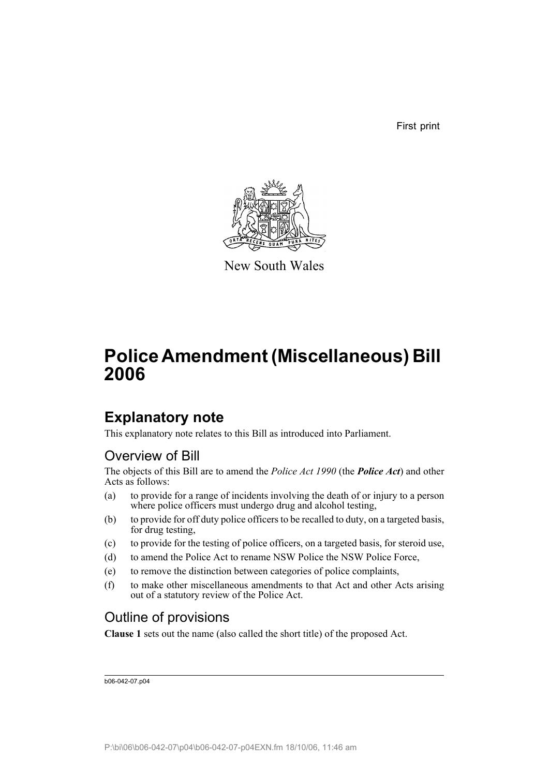First print



New South Wales

# **Police Amendment (Miscellaneous) Bill 2006**

# **Explanatory note**

This explanatory note relates to this Bill as introduced into Parliament.

# Overview of Bill

The objects of this Bill are to amend the *Police Act 1990* (the *Police Act*) and other Acts as follows:

- (a) to provide for a range of incidents involving the death of or injury to a person where police officers must undergo drug and alcohol testing,
- (b) to provide for off duty police officers to be recalled to duty, on a targeted basis, for drug testing,
- (c) to provide for the testing of police officers, on a targeted basis, for steroid use,
- (d) to amend the Police Act to rename NSW Police the NSW Police Force,
- (e) to remove the distinction between categories of police complaints,
- (f) to make other miscellaneous amendments to that Act and other Acts arising out of a statutory review of the Police Act.

# Outline of provisions

**Clause 1** sets out the name (also called the short title) of the proposed Act.

b06-042-07.p04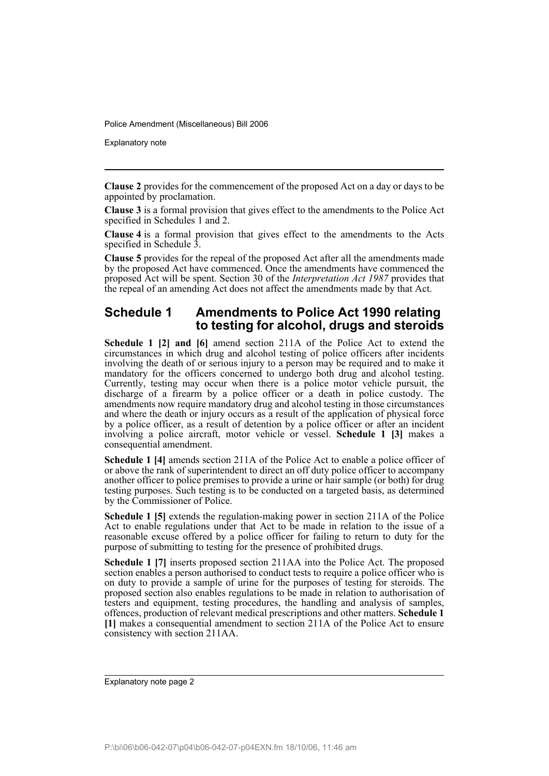Explanatory note

**Clause 2** provides for the commencement of the proposed Act on a day or days to be appointed by proclamation.

**Clause 3** is a formal provision that gives effect to the amendments to the Police Act specified in Schedules 1 and 2.

**Clause 4** is a formal provision that gives effect to the amendments to the Acts specified in Schedule 3.

**Clause 5** provides for the repeal of the proposed Act after all the amendments made by the proposed Act have commenced. Once the amendments have commenced the proposed Act will be spent. Section 30 of the *Interpretation Act 1987* provides that the repeal of an amending Act does not affect the amendments made by that Act.

## **Schedule 1 Amendments to Police Act 1990 relating to testing for alcohol, drugs and steroids**

**Schedule 1 [2] and [6]** amend section 211A of the Police Act to extend the circumstances in which drug and alcohol testing of police officers after incidents involving the death of or serious injury to a person may be required and to make it mandatory for the officers concerned to undergo both drug and alcohol testing. Currently, testing may occur when there is a police motor vehicle pursuit, the discharge of a firearm by a police officer or a death in police custody. The amendments now require mandatory drug and alcohol testing in those circumstances and where the death or injury occurs as a result of the application of physical force by a police officer, as a result of detention by a police officer or after an incident involving a police aircraft, motor vehicle or vessel. **Schedule 1 [3]** makes a consequential amendment.

**Schedule 1 [4]** amends section 211A of the Police Act to enable a police officer of or above the rank of superintendent to direct an off duty police officer to accompany another officer to police premises to provide a urine or hair sample (or both) for drug testing purposes. Such testing is to be conducted on a targeted basis, as determined by the Commissioner of Police.

**Schedule 1 [5]** extends the regulation-making power in section 211A of the Police Act to enable regulations under that Act to be made in relation to the issue of a reasonable excuse offered by a police officer for failing to return to duty for the purpose of submitting to testing for the presence of prohibited drugs.

**Schedule 1 [7]** inserts proposed section 211AA into the Police Act. The proposed section enables a person authorised to conduct tests to require a police officer who is on duty to provide a sample of urine for the purposes of testing for steroids. The proposed section also enables regulations to be made in relation to authorisation of testers and equipment, testing procedures, the handling and analysis of samples, offences, production of relevant medical prescriptions and other matters. **Schedule 1 [1]** makes a consequential amendment to section 211A of the Police Act to ensure consistency with section 211AA.

Explanatory note page 2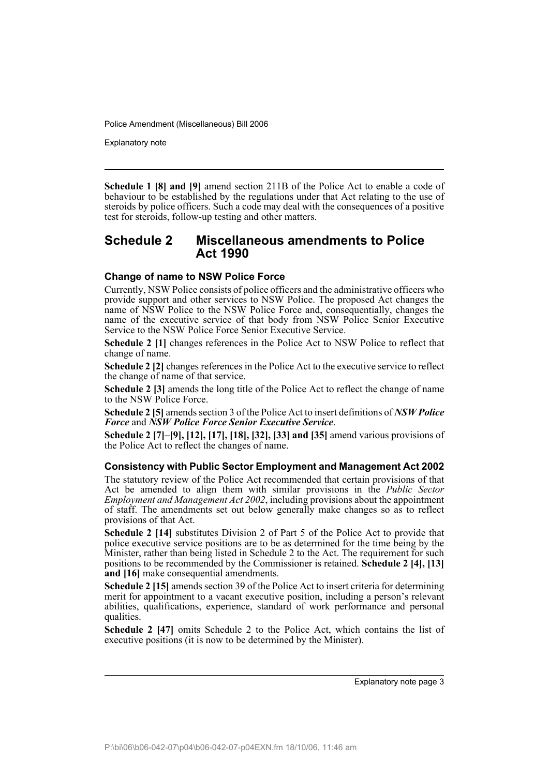Explanatory note

**Schedule 1 [8] and [9]** amend section 211B of the Police Act to enable a code of behaviour to be established by the regulations under that Act relating to the use of steroids by police officers. Such a code may deal with the consequences of a positive test for steroids, follow-up testing and other matters.

## **Schedule 2 Miscellaneous amendments to Police Act 1990**

#### **Change of name to NSW Police Force**

Currently, NSW Police consists of police officers and the administrative officers who provide support and other services to NSW Police. The proposed Act changes the name of NSW Police to the NSW Police Force and, consequentially, changes the name of the executive service of that body from NSW Police Senior Executive Service to the NSW Police Force Senior Executive Service.

**Schedule 2 [1]** changes references in the Police Act to NSW Police to reflect that change of name.

**Schedule 2 [2]** changes references in the Police Act to the executive service to reflect the change of name of that service.

**Schedule 2 [3]** amends the long title of the Police Act to reflect the change of name to the NSW Police Force.

**Schedule 2 [5]** amends section 3 of the Police Act to insert definitions of *NSW Police Force* and *NSW Police Force Senior Executive Service*.

**Schedule 2 [7]–[9], [12], [17], [18], [32], [33] and [35]** amend various provisions of the Police Act to reflect the changes of name.

#### **Consistency with Public Sector Employment and Management Act 2002**

The statutory review of the Police Act recommended that certain provisions of that Act be amended to align them with similar provisions in the *Public Sector Employment and Management Act 2002*, including provisions about the appointment of staff. The amendments set out below generally make changes so as to reflect provisions of that Act.

**Schedule 2 [14]** substitutes Division 2 of Part 5 of the Police Act to provide that police executive service positions are to be as determined for the time being by the Minister, rather than being listed in Schedule 2 to the Act. The requirement for such positions to be recommended by the Commissioner is retained. **Schedule 2 [4], [13] and [16]** make consequential amendments.

**Schedule 2 [15]** amends section 39 of the Police Act to insert criteria for determining merit for appointment to a vacant executive position, including a person's relevant abilities, qualifications, experience, standard of work performance and personal qualities.

**Schedule 2 [47]** omits Schedule 2 to the Police Act, which contains the list of executive positions (it is now to be determined by the Minister).

Explanatory note page 3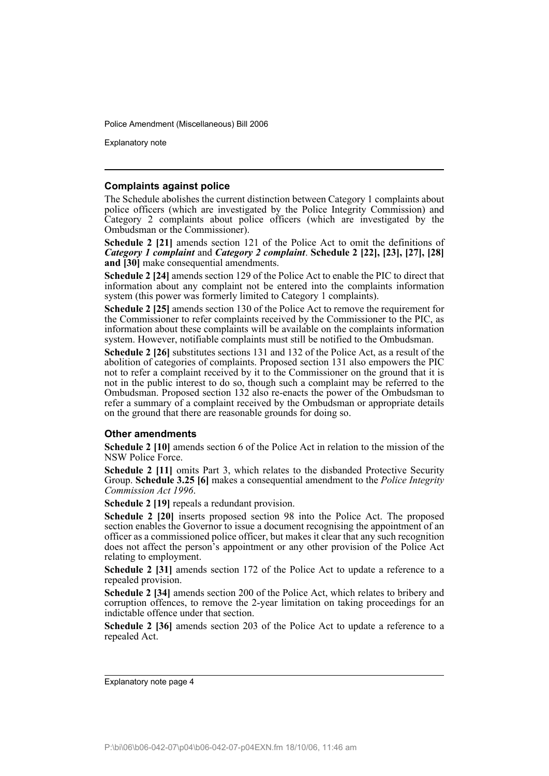Explanatory note

#### **Complaints against police**

The Schedule abolishes the current distinction between Category 1 complaints about police officers (which are investigated by the Police Integrity Commission) and Category 2 complaints about police officers (which are investigated by the Ombudsman or the Commissioner).

**Schedule 2 [21]** amends section 121 of the Police Act to omit the definitions of *Category 1 complaint* and *Category 2 complaint*. **Schedule 2 [22], [23], [27], [28] and [30]** make consequential amendments.

**Schedule 2 [24]** amends section 129 of the Police Act to enable the PIC to direct that information about any complaint not be entered into the complaints information system (this power was formerly limited to Category 1 complaints).

**Schedule 2 [25]** amends section 130 of the Police Act to remove the requirement for the Commissioner to refer complaints received by the Commissioner to the PIC, as information about these complaints will be available on the complaints information system. However, notifiable complaints must still be notified to the Ombudsman.

**Schedule 2 [26]** substitutes sections 131 and 132 of the Police Act, as a result of the abolition of categories of complaints. Proposed section 131 also empowers the PIC not to refer a complaint received by it to the Commissioner on the ground that it is not in the public interest to do so, though such a complaint may be referred to the Ombudsman. Proposed section 132 also re-enacts the power of the Ombudsman to refer a summary of a complaint received by the Ombudsman or appropriate details on the ground that there are reasonable grounds for doing so.

#### **Other amendments**

**Schedule 2 [10]** amends section 6 of the Police Act in relation to the mission of the NSW Police Force.

**Schedule 2 [11]** omits Part 3, which relates to the disbanded Protective Security Group. **Schedule 3.25 [6]** makes a consequential amendment to the *Police Integrity Commission Act 1996*.

**Schedule 2 [19]** repeals a redundant provision.

**Schedule 2 [20]** inserts proposed section 98 into the Police Act. The proposed section enables the Governor to issue a document recognising the appointment of an officer as a commissioned police officer, but makes it clear that any such recognition does not affect the person's appointment or any other provision of the Police Act relating to employment.

**Schedule 2 [31]** amends section 172 of the Police Act to update a reference to a repealed provision.

**Schedule 2 [34]** amends section 200 of the Police Act, which relates to bribery and corruption offences, to remove the 2-year limitation on taking proceedings for an indictable offence under that section.

**Schedule 2 [36]** amends section 203 of the Police Act to update a reference to a repealed Act.

Explanatory note page 4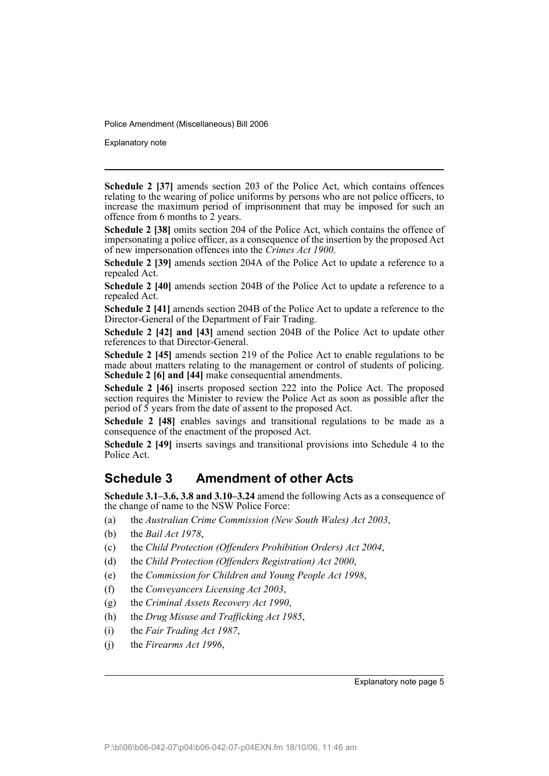Explanatory note

**Schedule 2 [37]** amends section 203 of the Police Act, which contains offences relating to the wearing of police uniforms by persons who are not police officers, to increase the maximum period of imprisonment that may be imposed for such an offence from 6 months to 2 years.

**Schedule 2 [38]** omits section 204 of the Police Act, which contains the offence of impersonating a police officer, as a consequence of the insertion by the proposed Act of new impersonation offences into the *Crimes Act 1900*.

**Schedule 2 [39]** amends section 204A of the Police Act to update a reference to a repealed Act.

**Schedule 2 [40]** amends section 204B of the Police Act to update a reference to a repealed Act.

**Schedule 2 [41]** amends section 204B of the Police Act to update a reference to the Director-General of the Department of Fair Trading.

**Schedule 2 [42] and [43]** amend section 204B of the Police Act to update other references to that Director-General.

**Schedule 2 [45]** amends section 219 of the Police Act to enable regulations to be made about matters relating to the management or control of students of policing. **Schedule 2 [6] and [44]** make consequential amendments.

**Schedule 2 [46]** inserts proposed section 222 into the Police Act. The proposed section requires the Minister to review the Police Act as soon as possible after the period of  $\overline{5}$  years from the date of assent to the proposed Act.

**Schedule 2 [48]** enables savings and transitional regulations to be made as a consequence of the enactment of the proposed Act.

**Schedule 2 [49]** inserts savings and transitional provisions into Schedule 4 to the Police Act.

## **Schedule 3 Amendment of other Acts**

**Schedule 3.1–3.6, 3.8 and 3.10–3.24** amend the following Acts as a consequence of the change of name to the NSW Police Force:

- (a) the *Australian Crime Commission (New South Wales) Act 2003*,
- (b) the *Bail Act 1978*,
- (c) the *Child Protection (Offenders Prohibition Orders) Act 2004*,
- (d) the *Child Protection (Offenders Registration) Act 2000*,
- (e) the *Commission for Children and Young People Act 1998*,
- (f) the *Conveyancers Licensing Act 2003*,
- (g) the *Criminal Assets Recovery Act 1990*,
- (h) the *Drug Misuse and Trafficking Act 1985*,
- (i) the *Fair Trading Act 1987*,
- (j) the *Firearms Act 1996*,

Explanatory note page 5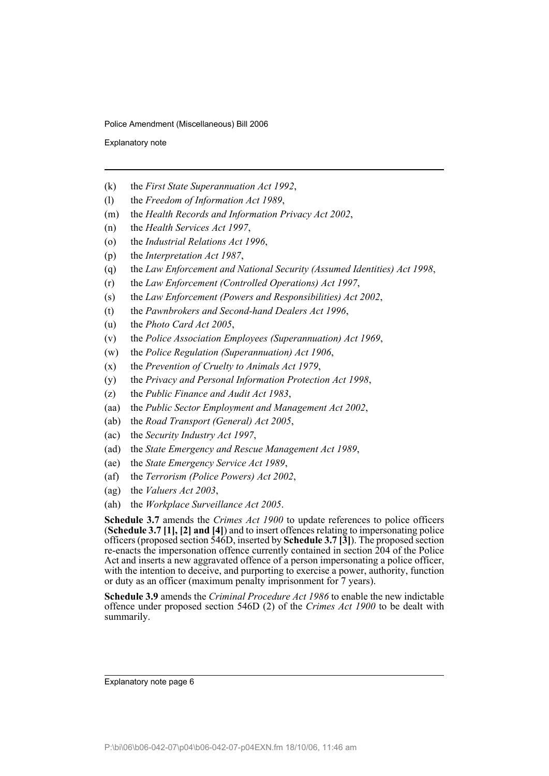Explanatory note

- (k) the *First State Superannuation Act 1992*,
- (l) the *Freedom of Information Act 1989*,
- (m) the *Health Records and Information Privacy Act 2002*,
- (n) the *Health Services Act 1997*,
- (o) the *Industrial Relations Act 1996*,
- (p) the *Interpretation Act 1987*,
- (q) the *Law Enforcement and National Security (Assumed Identities) Act 1998*,
- (r) the *Law Enforcement (Controlled Operations) Act 1997*,
- (s) the *Law Enforcement (Powers and Responsibilities) Act 2002*,
- (t) the *Pawnbrokers and Second-hand Dealers Act 1996*,
- (u) the *Photo Card Act 2005*,
- (v) the *Police Association Employees (Superannuation) Act 1969*,
- (w) the *Police Regulation (Superannuation) Act 1906*,
- (x) the *Prevention of Cruelty to Animals Act 1979*,
- (y) the *Privacy and Personal Information Protection Act 1998*,
- (z) the *Public Finance and Audit Act 1983*,
- (aa) the *Public Sector Employment and Management Act 2002*,
- (ab) the *Road Transport (General) Act 2005*,
- (ac) the *Security Industry Act 1997*,
- (ad) the *State Emergency and Rescue Management Act 1989*,
- (ae) the *State Emergency Service Act 1989*,
- (af) the *Terrorism (Police Powers) Act 2002*,
- (ag) the *Valuers Act 2003*,
- (ah) the *Workplace Surveillance Act 2005*.

**Schedule 3.7** amends the *Crimes Act 1900* to update references to police officers (**Schedule 3.7 [1], [2] and [4]**) and to insert offences relating to impersonating police officers (proposed section 546D, inserted by **Schedule 3.7 [3]**). The proposed section re-enacts the impersonation offence currently contained in section 204 of the Police Act and inserts a new aggravated offence of a person impersonating a police officer, with the intention to deceive, and purporting to exercise a power, authority, function or duty as an officer (maximum penalty imprisonment for 7 years).

**Schedule 3.9** amends the *Criminal Procedure Act 1986* to enable the new indictable offence under proposed section 546D (2) of the *Crimes Act 1900* to be dealt with summarily.

Explanatory note page 6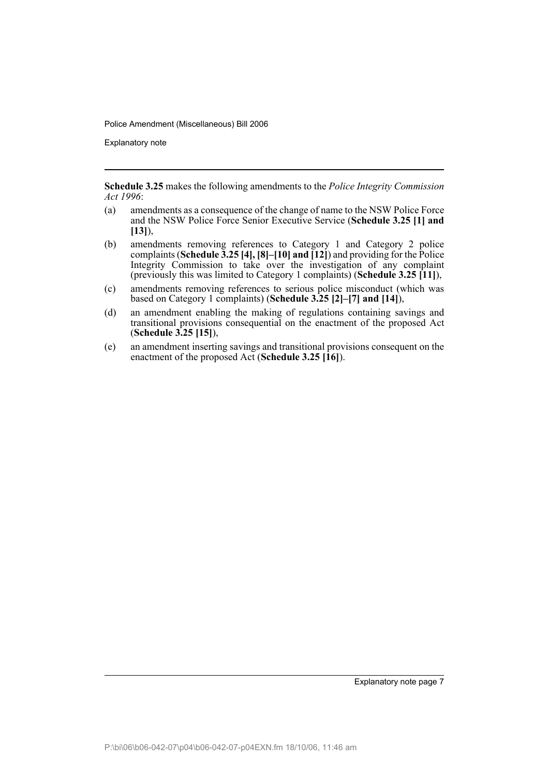Explanatory note

**Schedule 3.25** makes the following amendments to the *Police Integrity Commission Act 1996*:

- (a) amendments as a consequence of the change of name to the NSW Police Force and the NSW Police Force Senior Executive Service (**Schedule 3.25 [1] and [13]**),
- (b) amendments removing references to Category 1 and Category 2 police complaints (**Schedule 3.25 [4], [8]–[10] and [12]**) and providing for the Police Integrity Commission to take over the investigation of any complaint (previously this was limited to Category 1 complaints) (**Schedule 3.25 [11]**),
- (c) amendments removing references to serious police misconduct (which was based on Category 1 complaints) (**Schedule 3.25 [2]–[7] and [14]**),
- (d) an amendment enabling the making of regulations containing savings and transitional provisions consequential on the enactment of the proposed Act (**Schedule 3.25 [15]**),
- (e) an amendment inserting savings and transitional provisions consequent on the enactment of the proposed Act (**Schedule 3.25 [16]**).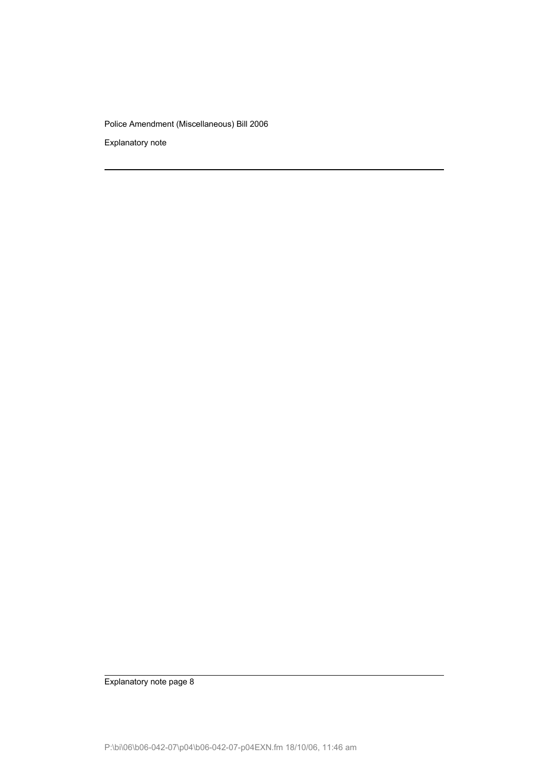Explanatory note

Explanatory note page 8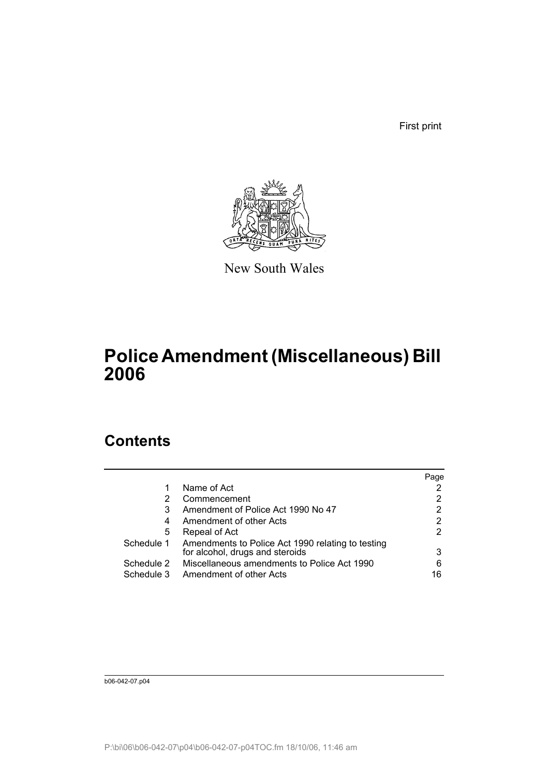First print



New South Wales

# **Police Amendment (Miscellaneous) Bill 2006**

# **Contents**

|                          |                                                                                      | Page    |
|--------------------------|--------------------------------------------------------------------------------------|---------|
|                          | Name of Act                                                                          |         |
|                          | Commencement                                                                         | 2       |
| 3                        | Amendment of Police Act 1990 No 47                                                   | 2       |
| 4                        | Amendment of other Acts                                                              | 2       |
| 5                        | Repeal of Act                                                                        | 2       |
| Schedule 1               | Amendments to Police Act 1990 relating to testing<br>for alcohol, drugs and steroids | 3       |
| Schedule 2<br>Schedule 3 | Miscellaneous amendments to Police Act 1990<br>Amendment of other Acts               | 6<br>16 |
|                          |                                                                                      |         |

b06-042-07.p04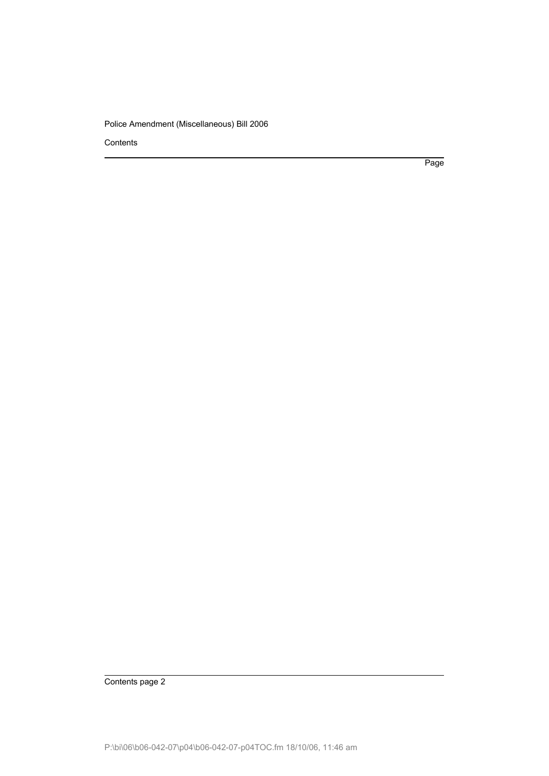Contents

Page

Contents page 2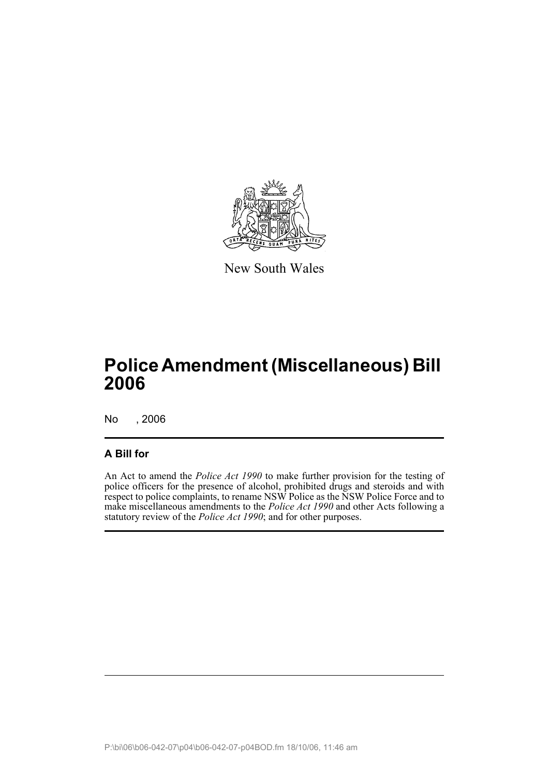

New South Wales

# **Police Amendment (Miscellaneous) Bill 2006**

No , 2006

## **A Bill for**

An Act to amend the *Police Act 1990* to make further provision for the testing of police officers for the presence of alcohol, prohibited drugs and steroids and with respect to police complaints, to rename NSW Police as the NSW Police Force and to make miscellaneous amendments to the *Police Act 1990* and other Acts following a statutory review of the *Police Act 1990*; and for other purposes.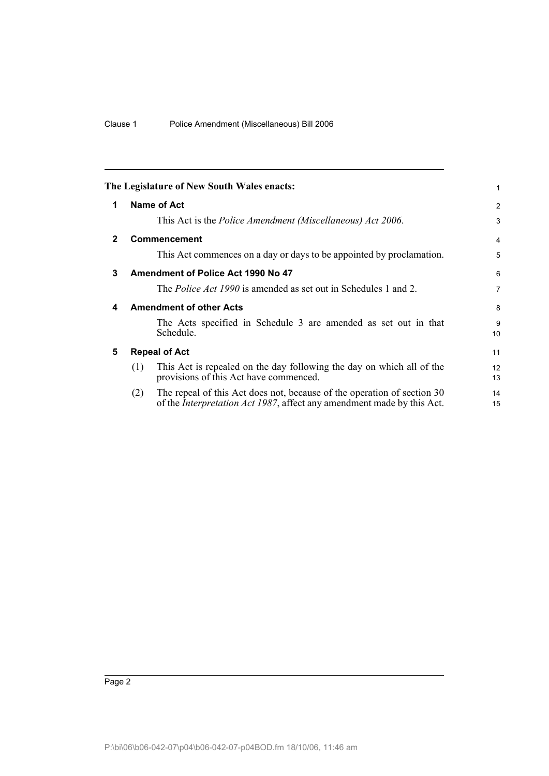<span id="page-11-4"></span><span id="page-11-3"></span><span id="page-11-2"></span><span id="page-11-1"></span><span id="page-11-0"></span>

|              |                    | The Legislature of New South Wales enacts:                                                                                                                | 1              |  |  |  |  |  |
|--------------|--------------------|-----------------------------------------------------------------------------------------------------------------------------------------------------------|----------------|--|--|--|--|--|
| 1            | <b>Name of Act</b> |                                                                                                                                                           |                |  |  |  |  |  |
|              |                    | This Act is the <i>Police Amendment (Miscellaneous) Act 2006</i> .                                                                                        | 3              |  |  |  |  |  |
| $\mathbf{2}$ |                    | Commencement                                                                                                                                              | $\overline{4}$ |  |  |  |  |  |
|              |                    | This Act commences on a day or days to be appointed by proclamation.                                                                                      | 5              |  |  |  |  |  |
| 3            |                    | Amendment of Police Act 1990 No 47                                                                                                                        | 6              |  |  |  |  |  |
|              |                    | The <i>Police Act 1990</i> is amended as set out in Schedules 1 and 2.                                                                                    | $\overline{7}$ |  |  |  |  |  |
| 4            |                    | <b>Amendment of other Acts</b>                                                                                                                            | 8              |  |  |  |  |  |
|              |                    | The Acts specified in Schedule 3 are amended as set out in that<br>Schedule.                                                                              | 9<br>10        |  |  |  |  |  |
| 5            |                    | <b>Repeal of Act</b>                                                                                                                                      | 11             |  |  |  |  |  |
|              | (1)                | This Act is repealed on the day following the day on which all of the<br>provisions of this Act have commenced.                                           | 12<br>13       |  |  |  |  |  |
|              | (2)                | The repeal of this Act does not, because of the operation of section 30<br>of the <i>Interpretation Act 1987</i> , affect any amendment made by this Act. | 14<br>15       |  |  |  |  |  |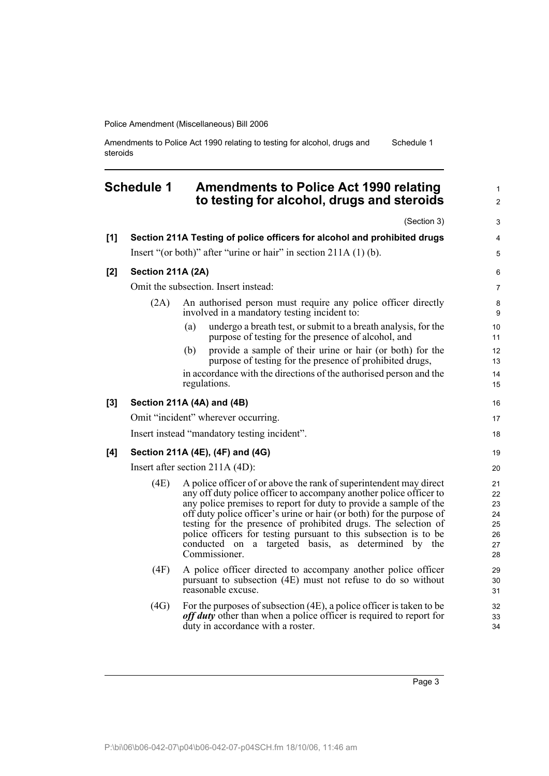Amendments to Police Act 1990 relating to testing for alcohol, drugs and steroids Schedule 1

## <span id="page-12-0"></span>**Schedule 1 Amendments to Police Act 1990 relating to testing for alcohol, drugs and steroids**

(Section 3) **[1] Section 211A Testing of police officers for alcohol and prohibited drugs** Insert "(or both)" after "urine or hair" in section 211A (1) (b). **[2] Section 211A (2A)** Omit the subsection. Insert instead: (2A) An authorised person must require any police officer directly involved in a mandatory testing incident to: (a) undergo a breath test, or submit to a breath analysis, for the purpose of testing for the presence of alcohol, and (b) provide a sample of their urine or hair (or both) for the purpose of testing for the presence of prohibited drugs, in accordance with the directions of the authorised person and the regulations. **[3] Section 211A (4A) and (4B)** Omit "incident" wherever occurring. Insert instead "mandatory testing incident". **[4] Section 211A (4E), (4F) and (4G)** Insert after section 211A (4D): (4E) A police officer of or above the rank of superintendent may direct any off duty police officer to accompany another police officer to any police premises to report for duty to provide a sample of the off duty police officer's urine or hair (or both) for the purpose of testing for the presence of prohibited drugs. The selection of police officers for testing pursuant to this subsection is to be conducted on a targeted basis, as determined by the Commissioner. (4F) A police officer directed to accompany another police officer pursuant to subsection (4E) must not refuse to do so without reasonable excuse.  $(4G)$  For the purposes of subsection  $(4E)$ , a police officer is taken to be *off duty* other than when a police officer is required to report for duty in accordance with a roster.  $\mathfrak{p}$ 3 4 5 6 7 8 **9** 10 11 12 13 14 15 16 17 18 19 20 21 22 23 24 25 26 27 28 29 30 31 32 33 34

Page 3

1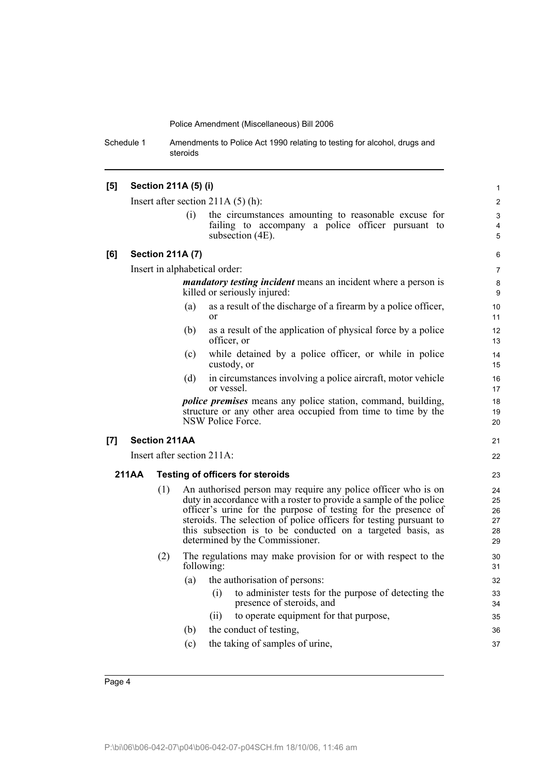Schedule 1 Amendments to Police Act 1990 relating to testing for alcohol, drugs and steroids

#### **[5] Section 211A (5) (i)** Insert after section 211A (5) (h): (i) the circumstances amounting to reasonable excuse for failing to accompany a police officer pursuant to subsection (4E). **[6] Section 211A (7)** Insert in alphabetical order: *mandatory testing incident* means an incident where a person is killed or seriously injured: (a) as a result of the discharge of a firearm by a police officer, or (b) as a result of the application of physical force by a police officer, or (c) while detained by a police officer, or while in police custody, or (d) in circumstances involving a police aircraft, motor vehicle or vessel. *police premises* means any police station, command, building, structure or any other area occupied from time to time by the NSW Police Force. **[7] Section 211AA**  Insert after section 211A: **211AA Testing of officers for steroids** (1) An authorised person may require any police officer who is on duty in accordance with a roster to provide a sample of the police officer's urine for the purpose of testing for the presence of steroids. The selection of police officers for testing pursuant to this subsection is to be conducted on a targeted basis, as determined by the Commissioner. (2) The regulations may make provision for or with respect to the following: (a) the authorisation of persons: (i) to administer tests for the purpose of detecting the presence of steroids, and (ii) to operate equipment for that purpose, (b) the conduct of testing, (c) the taking of samples of urine, 1 2 3 4 5 6 7 8 9 10 11 12 13 14 15 16 17 18 19 20 21 22 23 24 25 26 27 28 29 30 31 32 33 34 35 36 37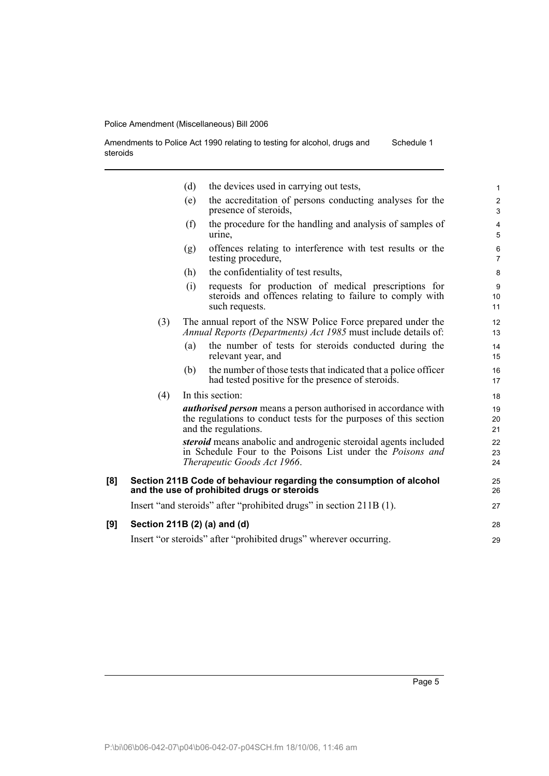Amendments to Police Act 1990 relating to testing for alcohol, drugs and steroids Schedule 1

|     |                              | (d) | the devices used in carrying out tests,                                                                                                                             | 1                            |
|-----|------------------------------|-----|---------------------------------------------------------------------------------------------------------------------------------------------------------------------|------------------------------|
|     |                              | (e) | the accreditation of persons conducting analyses for the<br>presence of steroids,                                                                                   | $\overline{\mathbf{c}}$<br>3 |
|     |                              | (f) | the procedure for the handling and analysis of samples of<br>urine,                                                                                                 | 4<br>5                       |
|     |                              | (g) | offences relating to interference with test results or the<br>testing procedure,                                                                                    | 6<br>7                       |
|     |                              | (h) | the confidentiality of test results,                                                                                                                                | 8                            |
|     |                              | (i) | requests for production of medical prescriptions for<br>steroids and offences relating to failure to comply with<br>such requests.                                  | 9<br>10<br>11                |
|     | (3)                          |     | The annual report of the NSW Police Force prepared under the<br><i>Annual Reports (Departments) Act 1985</i> must include details of:                               | 12<br>13                     |
|     |                              | (a) | the number of tests for steroids conducted during the<br>relevant year, and                                                                                         | 14<br>15                     |
|     |                              | (b) | the number of those tests that indicated that a police officer<br>had tested positive for the presence of steroids.                                                 | 16<br>17                     |
|     | (4)                          |     | In this section:                                                                                                                                                    | 18                           |
|     |                              |     | <b>authorised person</b> means a person authorised in accordance with<br>the regulations to conduct tests for the purposes of this section<br>and the regulations.  | 19<br>20<br>21               |
|     |                              |     | steroid means anabolic and androgenic steroidal agents included<br>in Schedule Four to the Poisons List under the <i>Poisons and</i><br>Therapeutic Goods Act 1966. | 22<br>23<br>24               |
| [8] |                              |     | Section 211B Code of behaviour regarding the consumption of alcohol<br>and the use of prohibited drugs or steroids                                                  | 25<br>26                     |
|     |                              |     | Insert "and steroids" after "prohibited drugs" in section 211B (1).                                                                                                 | 27                           |
| [9] | Section 211B (2) (a) and (d) |     |                                                                                                                                                                     | 28                           |
|     |                              |     | Insert "or steroids" after "prohibited drugs" wherever occurring.                                                                                                   | 29                           |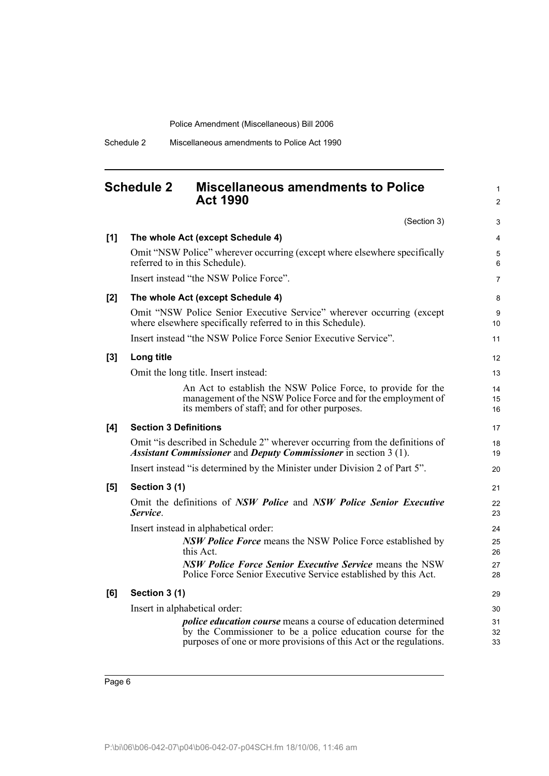## <span id="page-15-0"></span>**Schedule 2 Miscellaneous amendments to Police Act 1990**

1  $\mathfrak{p}$ 

(Section 3) **[1] The whole Act (except Schedule 4)** Omit "NSW Police" wherever occurring (except where elsewhere specifically referred to in this Schedule). Insert instead "the NSW Police Force". **[2] The whole Act (except Schedule 4)** Omit "NSW Police Senior Executive Service" wherever occurring (except where elsewhere specifically referred to in this Schedule). Insert instead "the NSW Police Force Senior Executive Service". **[3] Long title** Omit the long title. Insert instead: An Act to establish the NSW Police Force, to provide for the management of the NSW Police Force and for the employment of its members of staff; and for other purposes. **[4] Section 3 Definitions** Omit "is described in Schedule 2" wherever occurring from the definitions of *Assistant Commissioner* and *Deputy Commissioner* in section 3 (1). Insert instead "is determined by the Minister under Division 2 of Part 5". **[5] Section 3 (1)** Omit the definitions of *NSW Police* and *NSW Police Senior Executive Service*. Insert instead in alphabetical order: *NSW Police Force* means the NSW Police Force established by this Act. *NSW Police Force Senior Executive Service* means the NSW Police Force Senior Executive Service established by this Act. **[6] Section 3 (1)** Insert in alphabetical order: *police education course* means a course of education determined by the Commissioner to be a police education course for the purposes of one or more provisions of this Act or the regulations. 3 4 5 6 7 8 9 10 11 12 13 14 15 16 17 18 19 20 21  $22$ 23 24 25 26 27 28  $29$ 30 31 32 33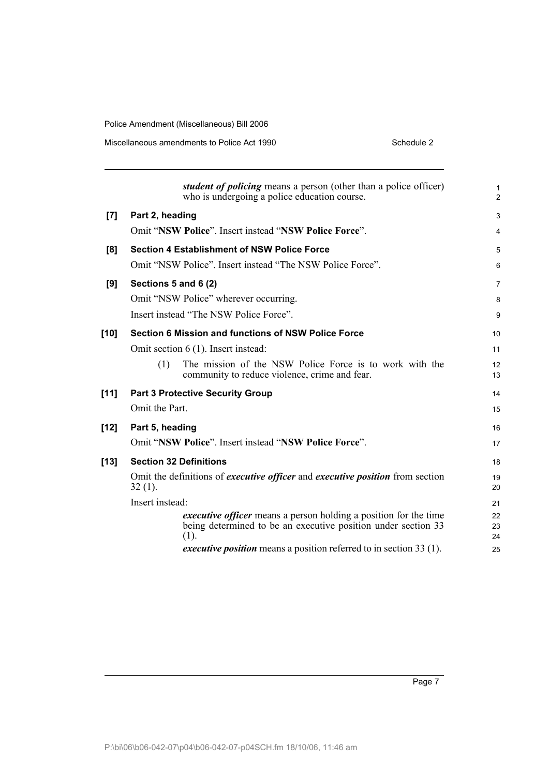Miscellaneous amendments to Police Act 1990 Schedule 2

|        | <i>student of policing</i> means a person (other than a police officer)<br>who is undergoing a police education course.                          | $\mathbf 1$<br>2 |
|--------|--------------------------------------------------------------------------------------------------------------------------------------------------|------------------|
| [7]    | Part 2, heading                                                                                                                                  | 3                |
|        | Omit "NSW Police". Insert instead "NSW Police Force".                                                                                            | 4                |
| [8]    | <b>Section 4 Establishment of NSW Police Force</b>                                                                                               | 5                |
|        | Omit "NSW Police". Insert instead "The NSW Police Force".                                                                                        | 6                |
| [9]    | Sections 5 and 6 (2)                                                                                                                             | $\overline{7}$   |
|        | Omit "NSW Police" wherever occurring.                                                                                                            | 8                |
|        | Insert instead "The NSW Police Force".                                                                                                           | 9                |
| $[10]$ | Section 6 Mission and functions of NSW Police Force                                                                                              | 10               |
|        | Omit section 6 (1). Insert instead:                                                                                                              | 11               |
|        | The mission of the NSW Police Force is to work with the<br>(1)<br>community to reduce violence, crime and fear.                                  | 12<br>13         |
| $[11]$ | <b>Part 3 Protective Security Group</b>                                                                                                          | 14               |
|        | Omit the Part.                                                                                                                                   | 15               |
| $[12]$ | Part 5, heading                                                                                                                                  | 16               |
|        | Omit "NSW Police". Insert instead "NSW Police Force".                                                                                            | 17               |
| $[13]$ | <b>Section 32 Definitions</b>                                                                                                                    | 18               |
|        | Omit the definitions of <i>executive officer</i> and <i>executive position</i> from section<br>$32(1)$ .                                         | 19<br>20         |
|        | Insert instead:                                                                                                                                  | 21               |
|        | <i>executive officer</i> means a person holding a position for the time<br>being determined to be an executive position under section 33<br>(1). | 22<br>23<br>24   |
|        | <i>executive position</i> means a position referred to in section 33 (1).                                                                        | 25               |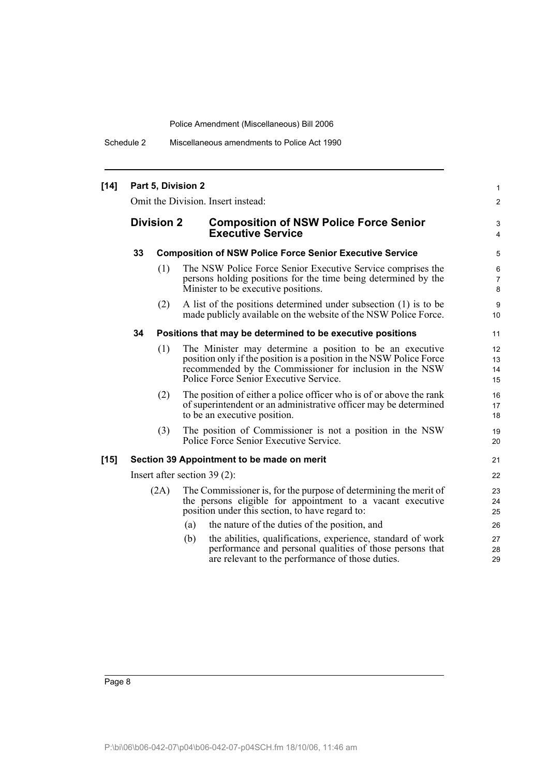Schedule 2 Miscellaneous amendments to Police Act 1990

#### **[14] Part 5, Division 2** Omit the Division. Insert instead: **Division 2 Composition of NSW Police Force Senior Executive Service 33 Composition of NSW Police Force Senior Executive Service** (1) The NSW Police Force Senior Executive Service comprises the persons holding positions for the time being determined by the Minister to be executive positions. (2) A list of the positions determined under subsection (1) is to be made publicly available on the website of the NSW Police Force. **34 Positions that may be determined to be executive positions** (1) The Minister may determine a position to be an executive position only if the position is a position in the NSW Police Force recommended by the Commissioner for inclusion in the NSW Police Force Senior Executive Service. (2) The position of either a police officer who is of or above the rank of superintendent or an administrative officer may be determined to be an executive position. (3) The position of Commissioner is not a position in the NSW Police Force Senior Executive Service. **[15] Section 39 Appointment to be made on merit** Insert after section 39 (2): (2A) The Commissioner is, for the purpose of determining the merit of the persons eligible for appointment to a vacant executive position under this section, to have regard to: (a) the nature of the duties of the position, and (b) the abilities, qualifications, experience, standard of work performance and personal qualities of those persons that are relevant to the performance of those duties. 1  $\mathfrak{p}$ 3 4 5 6 7 8 **9** 10 11 12 13 14 15 16 17 18 19 20 21 22 23 24 25 26 27 28 29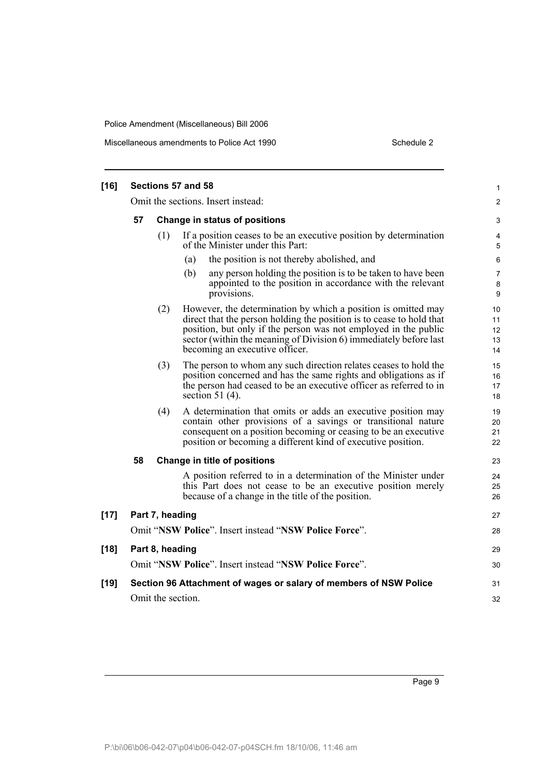Miscellaneous amendments to Police Act 1990 Schedule 2

| $[16]$ | Sections 57 and 58                                                                     |                 |     |                                                                                                                                                                                                                                                                                                                 |                            |  |
|--------|----------------------------------------------------------------------------------------|-----------------|-----|-----------------------------------------------------------------------------------------------------------------------------------------------------------------------------------------------------------------------------------------------------------------------------------------------------------------|----------------------------|--|
|        |                                                                                        |                 |     | Omit the sections. Insert instead:                                                                                                                                                                                                                                                                              | 2                          |  |
|        | 57                                                                                     |                 |     | <b>Change in status of positions</b>                                                                                                                                                                                                                                                                            | 3                          |  |
|        |                                                                                        | (1)             |     | If a position ceases to be an executive position by determination<br>of the Minister under this Part:                                                                                                                                                                                                           | 4<br>5                     |  |
|        |                                                                                        |                 | (a) | the position is not thereby abolished, and                                                                                                                                                                                                                                                                      | 6                          |  |
|        |                                                                                        |                 | (b) | any person holding the position is to be taken to have been<br>appointed to the position in accordance with the relevant<br>provisions.                                                                                                                                                                         | 7<br>8<br>9                |  |
|        |                                                                                        | (2)             |     | However, the determination by which a position is omitted may<br>direct that the person holding the position is to cease to hold that<br>position, but only if the person was not employed in the public<br>sector (within the meaning of Division 6) immediately before last<br>becoming an executive officer. | 10<br>11<br>12<br>13<br>14 |  |
|        |                                                                                        | (3)             |     | The person to whom any such direction relates ceases to hold the<br>position concerned and has the same rights and obligations as if<br>the person had ceased to be an executive officer as referred to in<br>section 51 $(4)$ .                                                                                | 15<br>16<br>17<br>18       |  |
|        |                                                                                        | (4)             |     | A determination that omits or adds an executive position may<br>contain other provisions of a savings or transitional nature<br>consequent on a position becoming or ceasing to be an executive<br>position or becoming a different kind of executive position.                                                 | 19<br>20<br>21<br>22       |  |
|        | 58                                                                                     |                 |     | Change in title of positions                                                                                                                                                                                                                                                                                    | 23                         |  |
|        |                                                                                        |                 |     | A position referred to in a determination of the Minister under<br>this Part does not cease to be an executive position merely<br>because of a change in the title of the position.                                                                                                                             | 24<br>25<br>26             |  |
| $[17]$ |                                                                                        | Part 7, heading |     |                                                                                                                                                                                                                                                                                                                 | 27                         |  |
|        |                                                                                        |                 |     | Omit "NSW Police". Insert instead "NSW Police Force".                                                                                                                                                                                                                                                           | 28                         |  |
| $[18]$ |                                                                                        | Part 8, heading |     |                                                                                                                                                                                                                                                                                                                 |                            |  |
|        |                                                                                        |                 |     | Omit "NSW Police". Insert instead "NSW Police Force".                                                                                                                                                                                                                                                           | 30                         |  |
| $[19]$ | Section 96 Attachment of wages or salary of members of NSW Police<br>Omit the section. |                 |     | 31<br>32                                                                                                                                                                                                                                                                                                        |                            |  |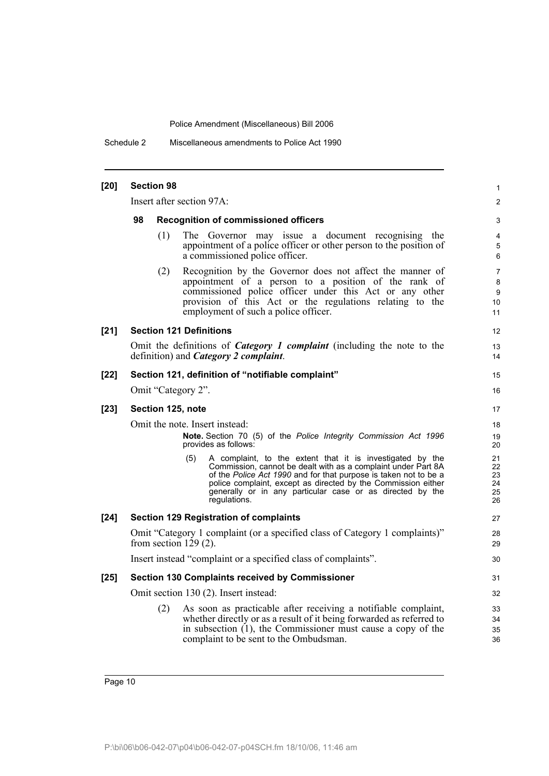Schedule 2 Miscellaneous amendments to Police Act 1990

| $[20]$                      | <b>Section 98</b>                                                                                                                                                                                                                                                                                   |     |                                |                                                                                                                                                                                                                                                                                                                                              |                                      |  |  |
|-----------------------------|-----------------------------------------------------------------------------------------------------------------------------------------------------------------------------------------------------------------------------------------------------------------------------------------------------|-----|--------------------------------|----------------------------------------------------------------------------------------------------------------------------------------------------------------------------------------------------------------------------------------------------------------------------------------------------------------------------------------------|--------------------------------------|--|--|
|                             | Insert after section 97A:                                                                                                                                                                                                                                                                           |     |                                |                                                                                                                                                                                                                                                                                                                                              |                                      |  |  |
|                             | 98<br><b>Recognition of commissioned officers</b>                                                                                                                                                                                                                                                   |     |                                |                                                                                                                                                                                                                                                                                                                                              |                                      |  |  |
|                             |                                                                                                                                                                                                                                                                                                     | (1) |                                | The Governor may issue a document recognising<br>the<br>appointment of a police officer or other person to the position of<br>a commissioned police officer.                                                                                                                                                                                 | 4<br>5<br>6                          |  |  |
|                             |                                                                                                                                                                                                                                                                                                     | (2) |                                | Recognition by the Governor does not affect the manner of<br>appointment of a person to a position of the rank of<br>commissioned police officer under this Act or any other<br>provision of this Act or the regulations relating to the<br>employment of such a police officer.                                                             | $\overline{7}$<br>8<br>9<br>10<br>11 |  |  |
| $[21]$                      |                                                                                                                                                                                                                                                                                                     |     | <b>Section 121 Definitions</b> |                                                                                                                                                                                                                                                                                                                                              | 12                                   |  |  |
|                             |                                                                                                                                                                                                                                                                                                     |     |                                | Omit the definitions of <i>Category 1 complaint</i> (including the note to the<br>definition) and <i>Category 2 complaint</i> .                                                                                                                                                                                                              | 13<br>14                             |  |  |
| $[22]$                      |                                                                                                                                                                                                                                                                                                     |     |                                | Section 121, definition of "notifiable complaint"                                                                                                                                                                                                                                                                                            | 15                                   |  |  |
| Omit "Category 2".          |                                                                                                                                                                                                                                                                                                     |     |                                |                                                                                                                                                                                                                                                                                                                                              | 16                                   |  |  |
| $[23]$<br>Section 125, note |                                                                                                                                                                                                                                                                                                     |     |                                | 17                                                                                                                                                                                                                                                                                                                                           |                                      |  |  |
|                             | Omit the note. Insert instead:                                                                                                                                                                                                                                                                      |     |                                |                                                                                                                                                                                                                                                                                                                                              |                                      |  |  |
|                             | Note. Section 70 (5) of the Police Integrity Commission Act 1996<br>provides as follows:                                                                                                                                                                                                            |     |                                |                                                                                                                                                                                                                                                                                                                                              | 19<br>20                             |  |  |
|                             |                                                                                                                                                                                                                                                                                                     |     | (5)                            | A complaint, to the extent that it is investigated by the<br>Commission, cannot be dealt with as a complaint under Part 8A<br>of the Police Act 1990 and for that purpose is taken not to be a<br>police complaint, except as directed by the Commission either<br>generally or in any particular case or as directed by the<br>regulations. | 21<br>22<br>23<br>24<br>25<br>26     |  |  |
| $[24]$                      |                                                                                                                                                                                                                                                                                                     |     |                                | <b>Section 129 Registration of complaints</b>                                                                                                                                                                                                                                                                                                | 27                                   |  |  |
|                             |                                                                                                                                                                                                                                                                                                     |     | from section $129(2)$ .        | Omit "Category 1 complaint (or a specified class of Category 1 complaints)"                                                                                                                                                                                                                                                                  | 28<br>29                             |  |  |
|                             |                                                                                                                                                                                                                                                                                                     |     |                                | Insert instead "complaint or a specified class of complaints".                                                                                                                                                                                                                                                                               | 30                                   |  |  |
| $[25]$                      |                                                                                                                                                                                                                                                                                                     |     |                                | Section 130 Complaints received by Commissioner                                                                                                                                                                                                                                                                                              | 31                                   |  |  |
|                             |                                                                                                                                                                                                                                                                                                     |     |                                |                                                                                                                                                                                                                                                                                                                                              | 32                                   |  |  |
|                             | Omit section 130 (2). Insert instead:<br>(2)<br>As soon as practicable after receiving a notifiable complaint,<br>whether directly or as a result of it being forwarded as referred to<br>in subsection $(1)$ , the Commissioner must cause a copy of the<br>complaint to be sent to the Ombudsman. |     |                                |                                                                                                                                                                                                                                                                                                                                              |                                      |  |  |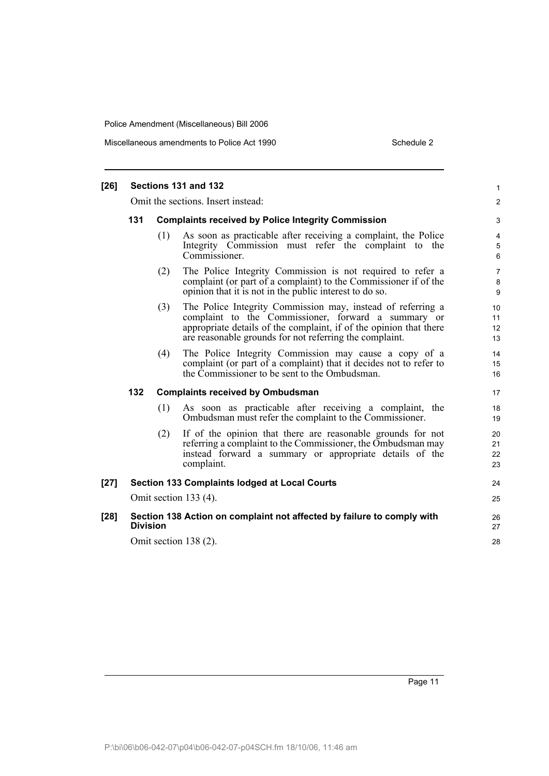Miscellaneous amendments to Police Act 1990 Schedule 2

| $[26]$ | Sections 131 and 132               |     |                                                                                                                                                                                                                                                     |                          |  |  |
|--------|------------------------------------|-----|-----------------------------------------------------------------------------------------------------------------------------------------------------------------------------------------------------------------------------------------------------|--------------------------|--|--|
|        | Omit the sections. Insert instead: |     |                                                                                                                                                                                                                                                     |                          |  |  |
|        | 131                                |     | <b>Complaints received by Police Integrity Commission</b>                                                                                                                                                                                           | 3                        |  |  |
|        |                                    | (1) | As soon as practicable after receiving a complaint, the Police<br>Integrity Commission must refer the complaint to the<br>Commissioner.                                                                                                             | 4<br>5<br>6              |  |  |
|        |                                    | (2) | The Police Integrity Commission is not required to refer a<br>complaint (or part of a complaint) to the Commissioner if of the<br>opinion that it is not in the public interest to do so.                                                           | $\overline{7}$<br>8<br>9 |  |  |
|        | (3)<br>(4)                         |     | The Police Integrity Commission may, instead of referring a<br>complaint to the Commissioner, forward a summary or<br>appropriate details of the complaint, if of the opinion that there<br>are reasonable grounds for not referring the complaint. | 10<br>11<br>12<br>13     |  |  |
|        |                                    |     | The Police Integrity Commission may cause a copy of a<br>complaint (or part of a complaint) that it decides not to refer to<br>the Commissioner to be sent to the Ombudsman.                                                                        | 14<br>15<br>16           |  |  |
|        | 132                                |     | <b>Complaints received by Ombudsman</b>                                                                                                                                                                                                             | 17                       |  |  |
|        |                                    | (1) | As soon as practicable after receiving a complaint, the<br>Ombudsman must refer the complaint to the Commissioner.                                                                                                                                  | 18<br>19                 |  |  |
|        |                                    | (2) | If of the opinion that there are reasonable grounds for not<br>referring a complaint to the Commissioner, the Ombudsman may<br>instead forward a summary or appropriate details of the<br>complaint.                                                | 20<br>21<br>22<br>23     |  |  |
| $[27]$ |                                    |     | <b>Section 133 Complaints lodged at Local Courts</b>                                                                                                                                                                                                | 24                       |  |  |
|        |                                    |     | Omit section $133(4)$ .                                                                                                                                                                                                                             | 25                       |  |  |
| $[28]$ | <b>Division</b>                    |     | Section 138 Action on complaint not affected by failure to comply with                                                                                                                                                                              | 26<br>27                 |  |  |
|        |                                    |     | Omit section $138(2)$ .                                                                                                                                                                                                                             | 28                       |  |  |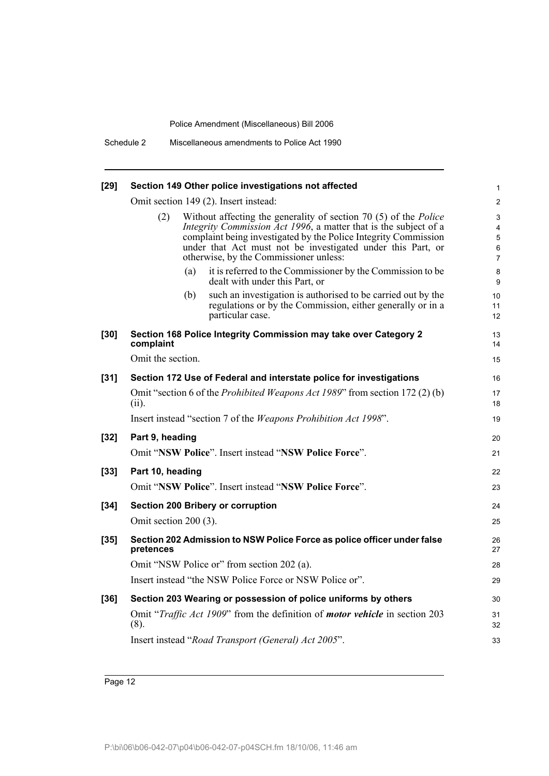| $[29]$ | Section 149 Other police investigations not affected |     |                                                                                                                                                                                                                                                                                                                          |                       |  |
|--------|------------------------------------------------------|-----|--------------------------------------------------------------------------------------------------------------------------------------------------------------------------------------------------------------------------------------------------------------------------------------------------------------------------|-----------------------|--|
|        |                                                      |     | Omit section 149 (2). Insert instead:                                                                                                                                                                                                                                                                                    | $\overline{2}$        |  |
|        | (2)                                                  |     | Without affecting the generality of section 70 (5) of the Police<br><i>Integrity Commission Act 1996</i> , a matter that is the subject of a<br>complaint being investigated by the Police Integrity Commission<br>under that Act must not be investigated under this Part, or<br>otherwise, by the Commissioner unless: | 3<br>4<br>5<br>6<br>7 |  |
|        |                                                      | (a) | it is referred to the Commissioner by the Commission to be<br>dealt with under this Part, or                                                                                                                                                                                                                             | 8<br>9                |  |
|        |                                                      | (b) | such an investigation is authorised to be carried out by the<br>regulations or by the Commission, either generally or in a<br>particular case.                                                                                                                                                                           | 10<br>11<br>12        |  |
| $[30]$ | complaint                                            |     | Section 168 Police Integrity Commission may take over Category 2                                                                                                                                                                                                                                                         | 13<br>14              |  |
|        | Omit the section.                                    |     |                                                                                                                                                                                                                                                                                                                          | 15                    |  |
| $[31]$ |                                                      |     | Section 172 Use of Federal and interstate police for investigations                                                                                                                                                                                                                                                      | 16                    |  |
|        | (ii).                                                |     | Omit "section 6 of the <i>Prohibited Weapons Act 1989</i> " from section 172 (2) (b)                                                                                                                                                                                                                                     | 17<br>18              |  |
|        |                                                      |     | Insert instead "section 7 of the Weapons Prohibition Act 1998".                                                                                                                                                                                                                                                          | 19                    |  |
| $[32]$ | Part 9, heading                                      |     |                                                                                                                                                                                                                                                                                                                          | 20                    |  |
|        |                                                      |     | Omit "NSW Police". Insert instead "NSW Police Force".                                                                                                                                                                                                                                                                    | 21                    |  |
| $[33]$ | Part 10, heading                                     |     |                                                                                                                                                                                                                                                                                                                          | 22                    |  |
|        |                                                      |     | Omit "NSW Police". Insert instead "NSW Police Force".                                                                                                                                                                                                                                                                    | 23                    |  |
| [34]   |                                                      |     | Section 200 Bribery or corruption                                                                                                                                                                                                                                                                                        | 24                    |  |
|        | Omit section $200(3)$ .                              |     |                                                                                                                                                                                                                                                                                                                          | 25                    |  |
| $[35]$ | pretences                                            |     | Section 202 Admission to NSW Police Force as police officer under false                                                                                                                                                                                                                                                  | 26<br>27              |  |
|        |                                                      |     | Omit "NSW Police or" from section 202 (a).                                                                                                                                                                                                                                                                               | 28                    |  |
|        |                                                      |     | Insert instead "the NSW Police Force or NSW Police or".                                                                                                                                                                                                                                                                  | 29                    |  |
| [36]   |                                                      |     | Section 203 Wearing or possession of police uniforms by others                                                                                                                                                                                                                                                           | 30                    |  |
|        | (8).                                                 |     | Omit "Traffic Act 1909" from the definition of <b>motor vehicle</b> in section 203                                                                                                                                                                                                                                       | 31<br>32              |  |
|        |                                                      |     | Insert instead "Road Transport (General) Act 2005".                                                                                                                                                                                                                                                                      | 33                    |  |
|        |                                                      |     |                                                                                                                                                                                                                                                                                                                          |                       |  |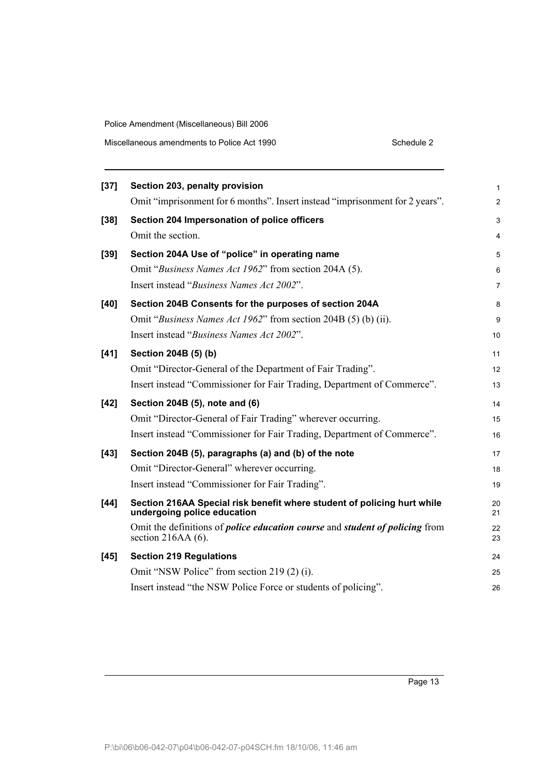| Miscellaneous amendments to Police Act 1990 | Schedule 2 |
|---------------------------------------------|------------|
|---------------------------------------------|------------|

| $[37]$ | Section 203, penalty provision                                                                                     | $\mathbf{1}$   |
|--------|--------------------------------------------------------------------------------------------------------------------|----------------|
|        | Omit "imprisonment for 6 months". Insert instead "imprisonment for 2 years".                                       | $\overline{2}$ |
| $[38]$ | Section 204 Impersonation of police officers                                                                       | 3              |
|        | Omit the section.                                                                                                  | $\overline{4}$ |
| $[39]$ | Section 204A Use of "police" in operating name                                                                     | 5              |
|        | Omit "Business Names Act 1962" from section 204A (5).                                                              | 6              |
|        | Insert instead "Business Names Act 2002".                                                                          | $\overline{7}$ |
| [40]   | Section 204B Consents for the purposes of section 204A                                                             | 8              |
|        | Omit "Business Names Act 1962" from section 204B (5) (b) (ii).                                                     | 9              |
|        | Insert instead "Business Names Act 2002".                                                                          | 10             |
| $[41]$ | Section 204B (5) (b)                                                                                               | 11             |
|        | Omit "Director-General of the Department of Fair Trading".                                                         | 12             |
|        | Insert instead "Commissioner for Fair Trading, Department of Commerce".                                            | 13             |
| $[42]$ | Section 204B (5), note and (6)                                                                                     | 14             |
|        | Omit "Director-General of Fair Trading" wherever occurring.                                                        | 15             |
|        | Insert instead "Commissioner for Fair Trading, Department of Commerce".                                            | 16             |
| $[43]$ | Section 204B (5), paragraphs (a) and (b) of the note                                                               | 17             |
|        | Omit "Director-General" wherever occurring.                                                                        | 18             |
|        | Insert instead "Commissioner for Fair Trading".                                                                    | 19             |
| $[44]$ | Section 216AA Special risk benefit where student of policing hurt while<br>undergoing police education             | 20<br>21       |
|        | Omit the definitions of <i>police education course</i> and <i>student of policing</i> from<br>section $216AA(6)$ . | 22<br>23       |
| $[45]$ | <b>Section 219 Regulations</b>                                                                                     | 24             |
|        | Omit "NSW Police" from section 219 (2) (i).                                                                        | 25             |
|        | Insert instead "the NSW Police Force or students of policing".                                                     | 26             |
|        |                                                                                                                    |                |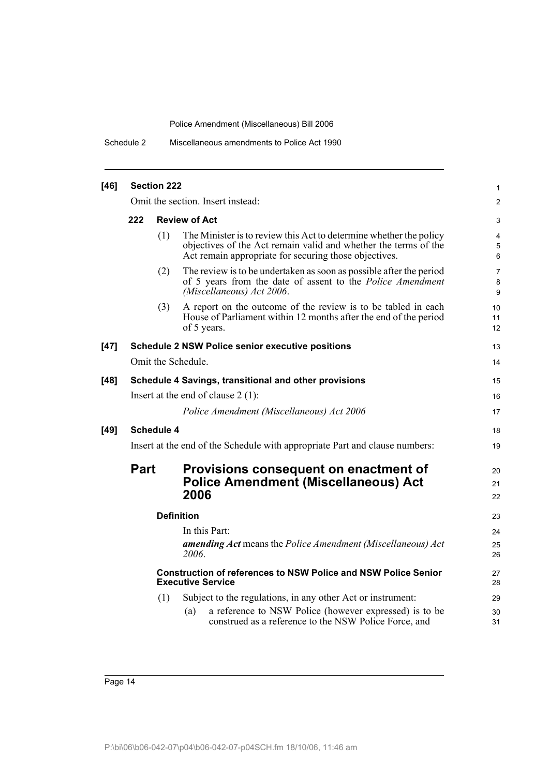Schedule 2 Miscellaneous amendments to Police Act 1990

| $[46]$ |                                                                                                   | <b>Section 222</b> |                                                                                                                                                                                                | $\mathbf{1}$             |  |  |
|--------|---------------------------------------------------------------------------------------------------|--------------------|------------------------------------------------------------------------------------------------------------------------------------------------------------------------------------------------|--------------------------|--|--|
|        | Omit the section. Insert instead:                                                                 |                    |                                                                                                                                                                                                |                          |  |  |
|        | 222                                                                                               |                    | <b>Review of Act</b>                                                                                                                                                                           | 3                        |  |  |
|        |                                                                                                   | (1)                | The Minister is to review this Act to determine whether the policy<br>objectives of the Act remain valid and whether the terms of the<br>Act remain appropriate for securing those objectives. | 4<br>5<br>6              |  |  |
|        |                                                                                                   | (2)                | The review is to be undertaken as soon as possible after the period<br>of 5 years from the date of assent to the <i>Police Amendment</i><br>(Miscellaneous) Act 2006.                          | $\overline{7}$<br>8<br>9 |  |  |
|        |                                                                                                   | (3)                | A report on the outcome of the review is to be tabled in each<br>House of Parliament within 12 months after the end of the period<br>of 5 years.                                               | 10<br>11<br>12           |  |  |
| $[47]$ |                                                                                                   |                    | <b>Schedule 2 NSW Police senior executive positions</b>                                                                                                                                        | 13                       |  |  |
|        | Omit the Schedule.                                                                                |                    |                                                                                                                                                                                                |                          |  |  |
| $[48]$ | Schedule 4 Savings, transitional and other provisions                                             |                    |                                                                                                                                                                                                |                          |  |  |
|        |                                                                                                   |                    | Insert at the end of clause $2(1)$ :                                                                                                                                                           | 16                       |  |  |
|        |                                                                                                   |                    | Police Amendment (Miscellaneous) Act 2006                                                                                                                                                      | 17                       |  |  |
| $[49]$ |                                                                                                   | <b>Schedule 4</b>  |                                                                                                                                                                                                | 18                       |  |  |
|        |                                                                                                   |                    | Insert at the end of the Schedule with appropriate Part and clause numbers:                                                                                                                    | 19                       |  |  |
|        | <b>Part</b>                                                                                       |                    | Provisions consequent on enactment of<br><b>Police Amendment (Miscellaneous) Act</b><br>2006                                                                                                   | 20<br>21<br>22           |  |  |
|        | <b>Definition</b>                                                                                 |                    |                                                                                                                                                                                                |                          |  |  |
|        | In this Part:<br>amending Act means the Police Amendment (Miscellaneous) Act<br>2006.             |                    |                                                                                                                                                                                                |                          |  |  |
|        | <b>Construction of references to NSW Police and NSW Police Senior</b><br><b>Executive Service</b> |                    |                                                                                                                                                                                                |                          |  |  |
|        |                                                                                                   | (1)                | Subject to the regulations, in any other Act or instrument:                                                                                                                                    | 29                       |  |  |
|        |                                                                                                   |                    | a reference to NSW Police (however expressed) is to be<br>(a)<br>construed as a reference to the NSW Police Force, and                                                                         | 30<br>31                 |  |  |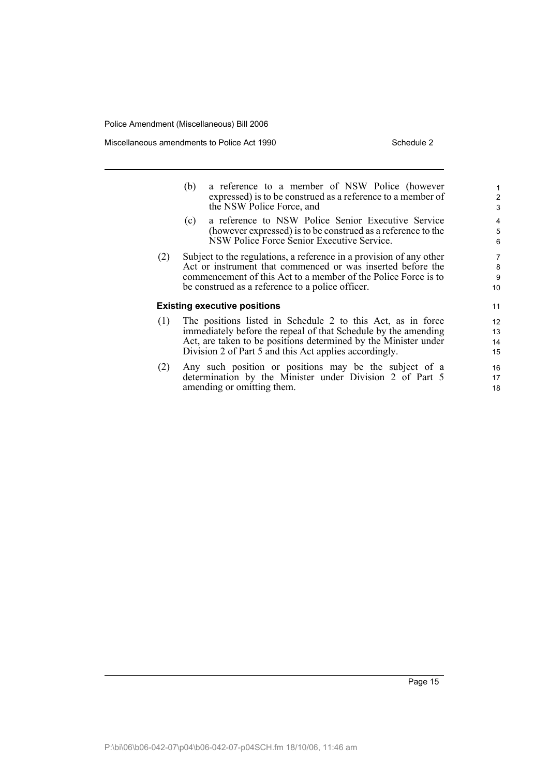Miscellaneous amendments to Police Act 1990 Schedule 2

|     | a reference to a member of NSW Police (however<br>(b)<br>expressed) is to be construed as a reference to a member of<br>the NSW Police Force, and                                                                                                          | $\mathbf{1}$<br>$\overline{2}$<br>3 |  |  |
|-----|------------------------------------------------------------------------------------------------------------------------------------------------------------------------------------------------------------------------------------------------------------|-------------------------------------|--|--|
|     | a reference to NSW Police Senior Executive Service<br>(c)<br>(however expressed) is to be construed as a reference to the<br>NSW Police Force Senior Executive Service.                                                                                    | 4<br>5<br>6                         |  |  |
| (2) | Subject to the regulations, a reference in a provision of any other<br>Act or instrument that commenced or was inserted before the<br>commencement of this Act to a member of the Police Force is to<br>be construed as a reference to a police officer.   |                                     |  |  |
|     | <b>Existing executive positions</b>                                                                                                                                                                                                                        | 11                                  |  |  |
| (1) | The positions listed in Schedule 2 to this Act, as in force<br>immediately before the repeal of that Schedule by the amending<br>Act, are taken to be positions determined by the Minister under<br>Division 2 of Part 5 and this Act applies accordingly. | 12<br>13<br>14<br>15                |  |  |
| (2) | Any such position or positions may be the subject of a<br>determination by the Minister under Division 2 of Part 5                                                                                                                                         | 16<br>17                            |  |  |

18

amending or omitting them.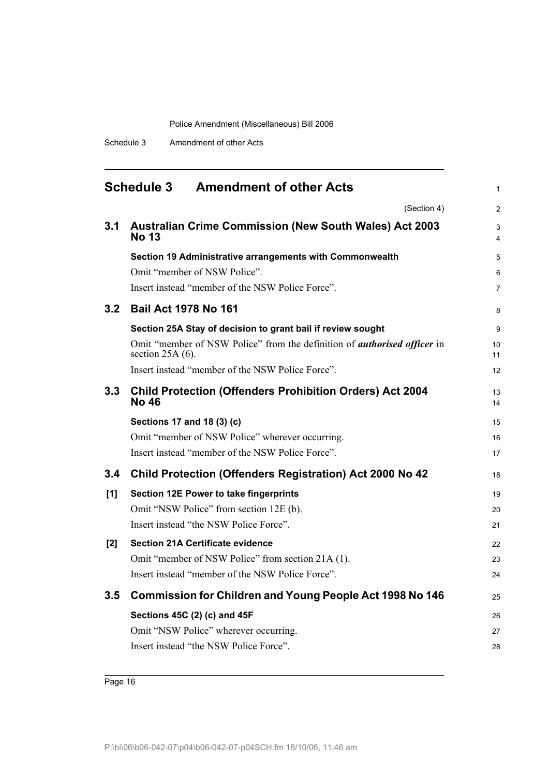Schedule 3 Amendment of other Acts

<span id="page-25-0"></span>

|     | <b>Schedule 3</b><br><b>Amendment of other Acts</b>                                                                                                                                                                      |
|-----|--------------------------------------------------------------------------------------------------------------------------------------------------------------------------------------------------------------------------|
|     | (Section 4)                                                                                                                                                                                                              |
| 3.1 | Australian Crime Commission (New South Wales) Act 2003<br><b>No 13</b>                                                                                                                                                   |
|     | Section 19 Administrative arrangements with Commonwealth<br>Omit "member of NSW Police".<br>Insert instead "member of the NSW Police Force".                                                                             |
| 3.2 | <b>Bail Act 1978 No 161</b>                                                                                                                                                                                              |
|     | Section 25A Stay of decision to grant bail if review sought<br>Omit "member of NSW Police" from the definition of <i>authorised officer</i> in<br>section $25A(6)$ .<br>Insert instead "member of the NSW Police Force". |
| 3.3 | <b>Child Protection (Offenders Prohibition Orders) Act 2004</b><br><b>No 46</b>                                                                                                                                          |
|     | Sections 17 and 18 (3) (c)<br>Omit "member of NSW Police" wherever occurring.<br>Insert instead "member of the NSW Police Force".                                                                                        |
| 3.4 | <b>Child Protection (Offenders Registration) Act 2000 No 42</b>                                                                                                                                                          |
|     | <b>Section 12E Power to take fingerprints</b><br>Omit "NSW Police" from section 12E (b).<br>Insert instead "the NSW Police Force".                                                                                       |
| [2] | <b>Section 21A Certificate evidence</b><br>Omit "member of NSW Police" from section 21A (1).<br>Insert instead "member of the NSW Police Force".                                                                         |
| 3.5 | <b>Commission for Children and Young People Act 1998 No 146</b>                                                                                                                                                          |
|     | Sections 45C (2) (c) and 45F<br>Omit "NSW Police" wherever occurring.<br>Insert instead "the NSW Police Force".                                                                                                          |
|     |                                                                                                                                                                                                                          |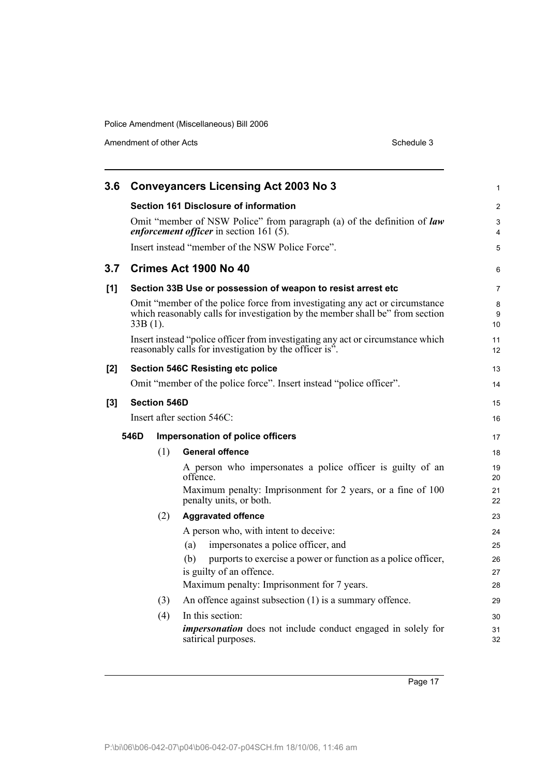Amendment of other Acts Schedule 3

| 3.6 |            |                     | <b>Conveyancers Licensing Act 2003 No 3</b>                                                                                                                  | $\mathbf{1}$   |
|-----|------------|---------------------|--------------------------------------------------------------------------------------------------------------------------------------------------------------|----------------|
|     |            |                     | <b>Section 161 Disclosure of information</b>                                                                                                                 | 2              |
|     |            |                     | Omit "member of NSW Police" from paragraph (a) of the definition of law<br><i>enforcement officer</i> in section 161 (5).                                    | 3<br>4         |
|     |            |                     | Insert instead "member of the NSW Police Force".                                                                                                             | 5              |
| 3.7 |            |                     | Crimes Act 1900 No 40                                                                                                                                        | 6              |
| [1] |            |                     | Section 33B Use or possession of weapon to resist arrest etc                                                                                                 | $\overline{7}$ |
|     | $33B(1)$ . |                     | Omit "member of the police force from investigating any act or circumstance<br>which reasonably calls for investigation by the member shall be" from section | 8<br>9<br>10   |
|     |            |                     | Insert instead "police officer from investigating any act or circumstance which<br>reasonably calls for investigation by the officer is".                    | 11<br>12       |
| [2] |            |                     | <b>Section 546C Resisting etc police</b>                                                                                                                     | 13             |
|     |            |                     | Omit "member of the police force". Insert instead "police officer".                                                                                          | 14             |
| [3] |            | <b>Section 546D</b> |                                                                                                                                                              | 15             |
|     |            |                     | Insert after section 546C:                                                                                                                                   | 16             |
|     | 546D       |                     | Impersonation of police officers                                                                                                                             | 17             |
|     |            | (1)                 | <b>General offence</b>                                                                                                                                       | 18             |
|     |            |                     | A person who impersonates a police officer is guilty of an<br>offence.<br>Maximum penalty: Imprisonment for 2 years, or a fine of 100                        | 19<br>20<br>21 |
|     |            |                     | penalty units, or both.                                                                                                                                      | 22             |
|     |            | (2)                 | <b>Aggravated offence</b>                                                                                                                                    | 23             |
|     |            |                     | A person who, with intent to deceive:                                                                                                                        | 24             |
|     |            |                     | impersonates a police officer, and<br>(a)                                                                                                                    | 25             |
|     |            |                     | purports to exercise a power or function as a police officer,<br>(b)<br>is guilty of an offence.                                                             | 26<br>27       |
|     |            |                     | Maximum penalty: Imprisonment for 7 years.                                                                                                                   | 28             |
|     |            | (3)                 | An offence against subsection $(1)$ is a summary offence.                                                                                                    | 29             |
|     |            | (4)                 | In this section:                                                                                                                                             | 30             |
|     |            |                     | <i>impersonation</i> does not include conduct engaged in solely for<br>satirical purposes.                                                                   | 31<br>32       |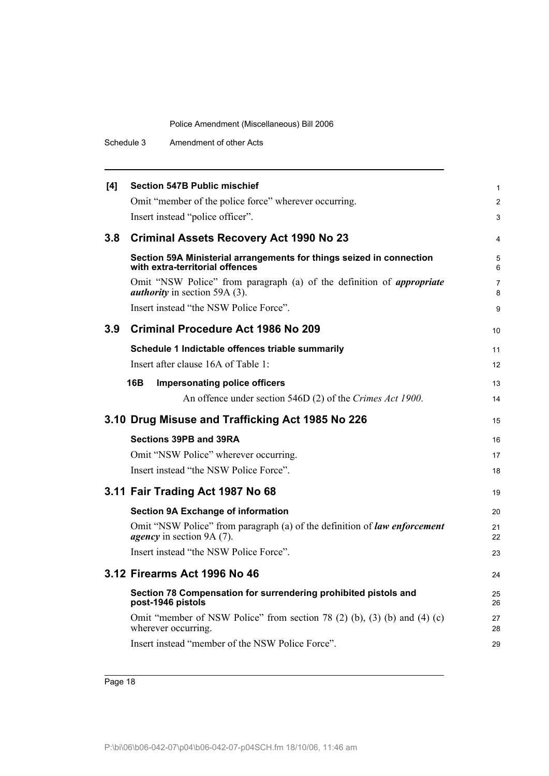| [4] | <b>Section 547B Public mischief</b>                                                                                     | 1              |
|-----|-------------------------------------------------------------------------------------------------------------------------|----------------|
|     | Omit "member of the police force" wherever occurring.                                                                   | $\overline{2}$ |
|     | Insert instead "police officer".                                                                                        | 3              |
| 3.8 | <b>Criminal Assets Recovery Act 1990 No 23</b>                                                                          | 4              |
|     | Section 59A Ministerial arrangements for things seized in connection<br>with extra-territorial offences                 | 5<br>6         |
|     | Omit "NSW Police" from paragraph (a) of the definition of <i>appropriate</i><br><i>authority</i> in section 59A $(3)$ . | 7<br>8         |
|     | Insert instead "the NSW Police Force".                                                                                  | 9              |
| 3.9 | <b>Criminal Procedure Act 1986 No 209</b>                                                                               | 10             |
|     | Schedule 1 Indictable offences triable summarily                                                                        | 11             |
|     | Insert after clause 16A of Table 1:                                                                                     | 12             |
|     | 16B<br><b>Impersonating police officers</b>                                                                             | 13             |
|     | An offence under section 546D (2) of the Crimes Act 1900.                                                               | 14             |
|     | 3.10 Drug Misuse and Trafficking Act 1985 No 226                                                                        | 15             |
|     | <b>Sections 39PB and 39RA</b>                                                                                           | 16             |
|     | Omit "NSW Police" wherever occurring.                                                                                   | 17             |
|     | Insert instead "the NSW Police Force".                                                                                  | 18             |
|     | 3.11 Fair Trading Act 1987 No 68                                                                                        | 19             |
|     | <b>Section 9A Exchange of information</b>                                                                               | 20             |
|     | Omit "NSW Police" from paragraph (a) of the definition of law enforcement<br><i>agency</i> in section 9A (7).           | 21<br>22       |
|     | Insert instead "the NSW Police Force".                                                                                  | 23             |
|     | 3.12 Firearms Act 1996 No 46                                                                                            | 24             |
|     | Section 78 Compensation for surrendering prohibited pistols and<br>post-1946 pistols                                    | 25<br>26       |
|     | Omit "member of NSW Police" from section 78 (2) (b), (3) (b) and (4) (c)<br>wherever occurring.                         | 27<br>28       |
|     | Insert instead "member of the NSW Police Force".                                                                        | 29             |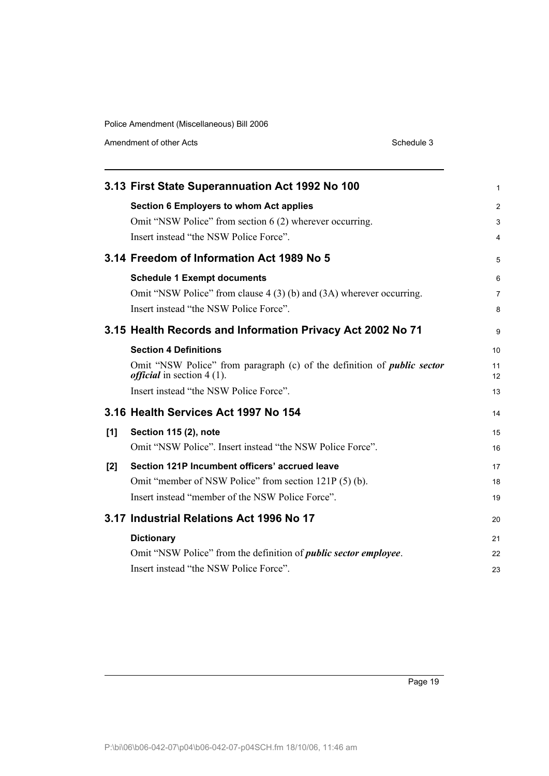Amendment of other Acts Schedule 3

|     | 3.13 First State Superannuation Act 1992 No 100                                                                       | 1        |
|-----|-----------------------------------------------------------------------------------------------------------------------|----------|
|     | Section 6 Employers to whom Act applies                                                                               | 2        |
|     | Omit "NSW Police" from section 6 (2) wherever occurring.                                                              | 3        |
|     | Insert instead "the NSW Police Force".                                                                                | 4        |
|     | 3.14 Freedom of Information Act 1989 No 5                                                                             | 5        |
|     | <b>Schedule 1 Exempt documents</b>                                                                                    | 6        |
|     | Omit "NSW Police" from clause 4 (3) (b) and (3A) wherever occurring.                                                  | 7        |
|     | Insert instead "the NSW Police Force".                                                                                | 8        |
|     | 3.15 Health Records and Information Privacy Act 2002 No 71                                                            | 9        |
|     | <b>Section 4 Definitions</b>                                                                                          | 10       |
|     | Omit "NSW Police" from paragraph (c) of the definition of <i>public sector</i><br><i>official</i> in section $4(1)$ . | 11<br>12 |
|     | Insert instead "the NSW Police Force".                                                                                | 13       |
|     | 3.16 Health Services Act 1997 No 154                                                                                  | 14       |
| [1] | Section 115 (2), note                                                                                                 | 15       |
|     | Omit "NSW Police". Insert instead "the NSW Police Force".                                                             | 16       |
| [2] | Section 121P Incumbent officers' accrued leave                                                                        | 17       |
|     | Omit "member of NSW Police" from section 121P (5) (b).                                                                | 18       |
|     | Insert instead "member of the NSW Police Force".                                                                      | 19       |
|     | 3.17 Industrial Relations Act 1996 No 17                                                                              | 20       |
|     | <b>Dictionary</b>                                                                                                     | 21       |
|     | Omit "NSW Police" from the definition of <i>public sector employee</i> .                                              | 22       |
|     | Insert instead "the NSW Police Force".                                                                                | 23       |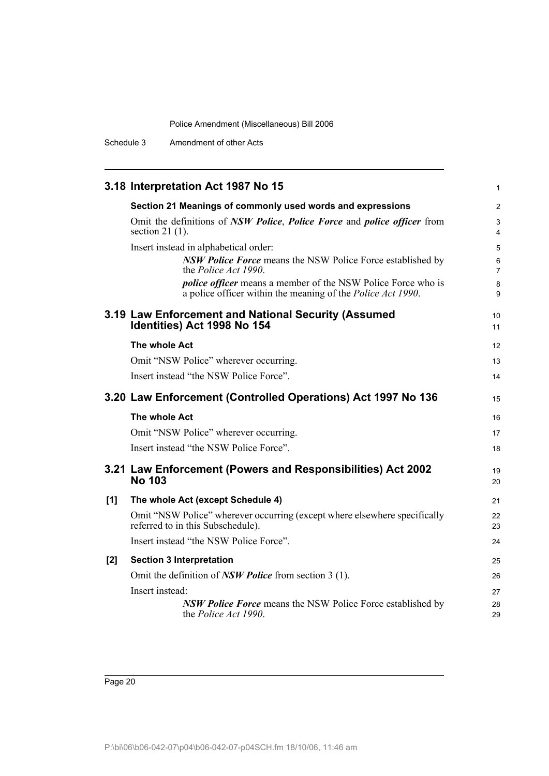Schedule 3 Amendment of other Acts

|       | 3.18 Interpretation Act 1987 No 15                                                                                                                                                                                                                                                | 1                                  |
|-------|-----------------------------------------------------------------------------------------------------------------------------------------------------------------------------------------------------------------------------------------------------------------------------------|------------------------------------|
|       | Section 21 Meanings of commonly used words and expressions                                                                                                                                                                                                                        | 2                                  |
|       | Omit the definitions of <i>NSW Police</i> , <i>Police Force</i> and <i>police officer</i> from<br>section 21 $(1)$ .                                                                                                                                                              | 3<br>4                             |
|       | Insert instead in alphabetical order:<br>NSW Police Force means the NSW Police Force established by<br>the <i>Police Act 1990</i> .<br><i>police officer</i> means a member of the NSW Police Force who is<br>a police officer within the meaning of the <i>Police Act 1990</i> . | 5<br>6<br>$\overline{7}$<br>8<br>9 |
|       | 3.19 Law Enforcement and National Security (Assumed<br>Identities) Act 1998 No 154                                                                                                                                                                                                | 10<br>11                           |
|       | The whole Act                                                                                                                                                                                                                                                                     | 12                                 |
|       | Omit "NSW Police" wherever occurring.                                                                                                                                                                                                                                             | 13                                 |
|       | Insert instead "the NSW Police Force".                                                                                                                                                                                                                                            | 14                                 |
|       | 3.20 Law Enforcement (Controlled Operations) Act 1997 No 136                                                                                                                                                                                                                      | 15                                 |
|       | The whole Act                                                                                                                                                                                                                                                                     | 16                                 |
|       | Omit "NSW Police" wherever occurring.                                                                                                                                                                                                                                             | 17                                 |
|       | Insert instead "the NSW Police Force".                                                                                                                                                                                                                                            | 18                                 |
|       | 3.21 Law Enforcement (Powers and Responsibilities) Act 2002<br><b>No 103</b>                                                                                                                                                                                                      | 19<br>20                           |
| [1]   | The whole Act (except Schedule 4)                                                                                                                                                                                                                                                 | 21                                 |
|       | Omit "NSW Police" wherever occurring (except where elsewhere specifically<br>referred to in this Subschedule).                                                                                                                                                                    | 22<br>23                           |
|       | Insert instead "the NSW Police Force".                                                                                                                                                                                                                                            | 24                                 |
| $[2]$ | <b>Section 3 Interpretation</b>                                                                                                                                                                                                                                                   | 25                                 |
|       | Omit the definition of $NSW$ Police from section 3 (1).                                                                                                                                                                                                                           | 26                                 |
|       | Insert instead:                                                                                                                                                                                                                                                                   | 27                                 |
|       | <b>NSW Police Force means the NSW Police Force established by</b><br>the <i>Police Act 1990</i> .                                                                                                                                                                                 | 28<br>29                           |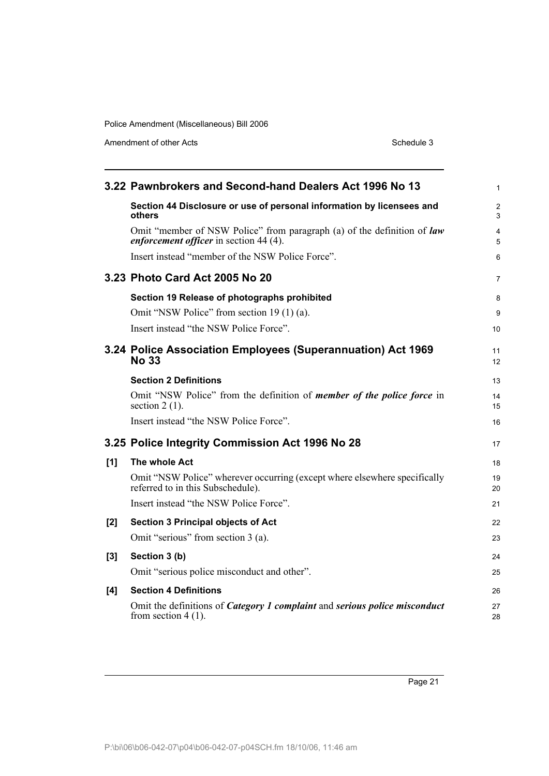Amendment of other Acts Schedule 3

|     | 3.22 Pawnbrokers and Second-hand Dealers Act 1996 No 13                                                                              | $\mathbf{1}$        |
|-----|--------------------------------------------------------------------------------------------------------------------------------------|---------------------|
|     | Section 44 Disclosure or use of personal information by licensees and<br>others                                                      | $\overline{2}$<br>3 |
|     | Omit "member of NSW Police" from paragraph (a) of the definition of law<br>enforcement officer in section 44 (4).                    | 4<br>5              |
|     | Insert instead "member of the NSW Police Force".                                                                                     | 6                   |
|     | 3.23 Photo Card Act 2005 No 20                                                                                                       | 7                   |
|     | Section 19 Release of photographs prohibited<br>Omit "NSW Police" from section 19 (1) (a).<br>Insert instead "the NSW Police Force". | 8<br>9<br>10        |
|     | 3.24 Police Association Employees (Superannuation) Act 1969<br><b>No 33</b>                                                          | 11<br>12            |
|     | <b>Section 2 Definitions</b>                                                                                                         | 13                  |
|     | Omit "NSW Police" from the definition of <i>member of the police force</i> in<br>section $2(1)$ .                                    | 14<br>15            |
|     | Insert instead "the NSW Police Force".                                                                                               | 16                  |
|     | 3.25 Police Integrity Commission Act 1996 No 28                                                                                      | 17                  |
| [1] | The whole Act                                                                                                                        | 18                  |
|     | Omit "NSW Police" wherever occurring (except where elsewhere specifically<br>referred to in this Subschedule).                       | 19<br>20            |
|     | Insert instead "the NSW Police Force".                                                                                               | 21                  |
| [2] | <b>Section 3 Principal objects of Act</b>                                                                                            | 22                  |
|     | Omit "serious" from section 3 (a).                                                                                                   | 23                  |
| [3] | Section 3 (b)                                                                                                                        | 24                  |
|     | Omit "serious police misconduct and other".                                                                                          | 25                  |
| [4] | <b>Section 4 Definitions</b>                                                                                                         | 26                  |
|     | Omit the definitions of <i>Category 1 complaint</i> and <i>serious police misconduct</i><br>from section $4(1)$ .                    | 27<br>28            |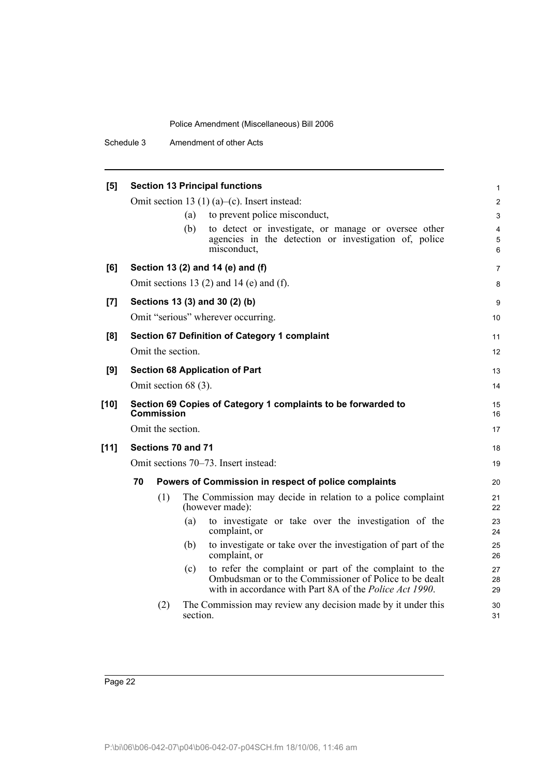| [5]    |    |                      |          | <b>Section 13 Principal functions</b>                                                                                                                                               | 1              |
|--------|----|----------------------|----------|-------------------------------------------------------------------------------------------------------------------------------------------------------------------------------------|----------------|
|        |    |                      |          | Omit section 13 (1) (a)–(c). Insert instead:                                                                                                                                        | $\overline{2}$ |
|        |    |                      | (a)      | to prevent police misconduct,                                                                                                                                                       | 3              |
|        |    |                      | (b)      | to detect or investigate, or manage or oversee other<br>agencies in the detection or investigation of, police<br>misconduct,                                                        | 4<br>5<br>6    |
| [6]    |    |                      |          | Section 13 (2) and 14 (e) and (f)                                                                                                                                                   | $\overline{7}$ |
|        |    |                      |          | Omit sections 13 $(2)$ and 14 $(e)$ and $(f)$ .                                                                                                                                     | 8              |
| [7]    |    |                      |          | Sections 13 (3) and 30 (2) (b)                                                                                                                                                      | 9              |
|        |    |                      |          | Omit "serious" wherever occurring.                                                                                                                                                  | 10             |
| [8]    |    |                      |          | Section 67 Definition of Category 1 complaint                                                                                                                                       | 11             |
|        |    | Omit the section.    |          |                                                                                                                                                                                     | 12             |
| [9]    |    |                      |          | <b>Section 68 Application of Part</b>                                                                                                                                               | 13             |
|        |    | Omit section 68 (3). |          |                                                                                                                                                                                     | 14             |
| $[10]$ |    | Commission           |          | Section 69 Copies of Category 1 complaints to be forwarded to                                                                                                                       | 15<br>16       |
|        |    | Omit the section.    |          |                                                                                                                                                                                     | 17             |
| $[11]$ |    | Sections 70 and 71   |          |                                                                                                                                                                                     | 18             |
|        |    |                      |          | Omit sections 70–73. Insert instead:                                                                                                                                                | 19             |
|        | 70 |                      |          | Powers of Commission in respect of police complaints                                                                                                                                | 20             |
|        |    | (1)                  |          | The Commission may decide in relation to a police complaint<br>(however made):                                                                                                      | 21<br>22       |
|        |    |                      | (a)      | to investigate or take over the investigation of the<br>complaint, or                                                                                                               | 23<br>24       |
|        |    |                      | (b)      | to investigate or take over the investigation of part of the<br>complaint, or                                                                                                       | 25<br>26       |
|        |    |                      | (c)      | to refer the complaint or part of the complaint to the<br>Ombudsman or to the Commissioner of Police to be dealt<br>with in accordance with Part 8A of the <i>Police Act 1990</i> . | 27<br>28<br>29 |
|        |    | (2)                  | section. | The Commission may review any decision made by it under this                                                                                                                        | 30<br>31       |
|        |    |                      |          |                                                                                                                                                                                     |                |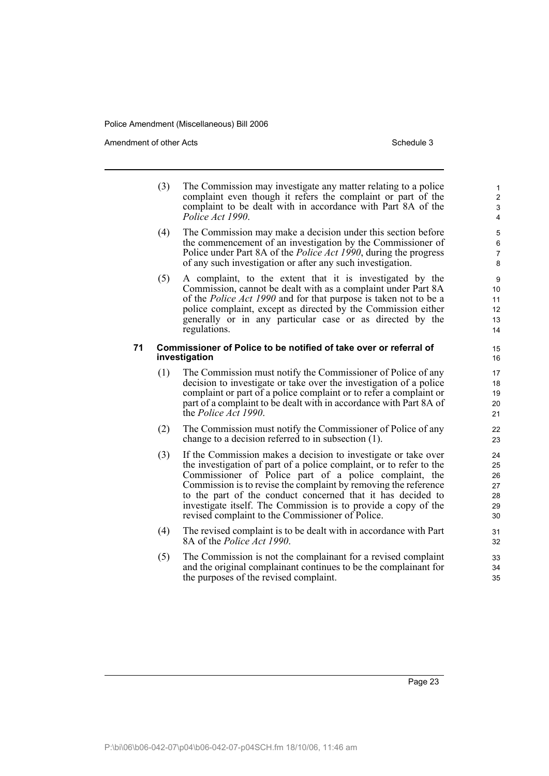Amendment of other Acts **Schedule 3** and the 3 schedule 3

- (3) The Commission may investigate any matter relating to a police complaint even though it refers the complaint or part of the complaint to be dealt with in accordance with Part 8A of the *Police Act 1990*.
- (4) The Commission may make a decision under this section before the commencement of an investigation by the Commissioner of Police under Part 8A of the *Police Act 1990*, during the progress of any such investigation or after any such investigation.
- (5) A complaint, to the extent that it is investigated by the Commission, cannot be dealt with as a complaint under Part 8A of the *Police Act 1990* and for that purpose is taken not to be a police complaint, except as directed by the Commission either generally or in any particular case or as directed by the regulations.

#### **71 Commissioner of Police to be notified of take over or referral of investigation**

- (1) The Commission must notify the Commissioner of Police of any decision to investigate or take over the investigation of a police complaint or part of a police complaint or to refer a complaint or part of a complaint to be dealt with in accordance with Part 8A of the *Police Act 1990*.
- (2) The Commission must notify the Commissioner of Police of any change to a decision referred to in subsection (1).
- (3) If the Commission makes a decision to investigate or take over the investigation of part of a police complaint, or to refer to the Commissioner of Police part of a police complaint, the Commission is to revise the complaint by removing the reference to the part of the conduct concerned that it has decided to investigate itself. The Commission is to provide a copy of the revised complaint to the Commissioner of Police.
- (4) The revised complaint is to be dealt with in accordance with Part 8A of the *Police Act 1990*.
- (5) The Commission is not the complainant for a revised complaint and the original complainant continues to be the complainant for the purposes of the revised complaint.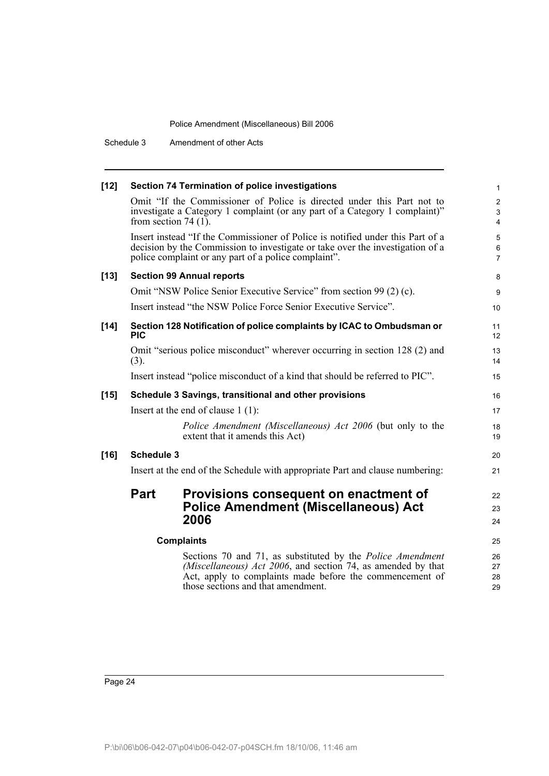Schedule 3 Amendment of other Acts

| $[12]$ | Section 74 Termination of police investigations                                                                                                                                                                              | $\mathbf{1}$                            |
|--------|------------------------------------------------------------------------------------------------------------------------------------------------------------------------------------------------------------------------------|-----------------------------------------|
|        | Omit "If the Commissioner of Police is directed under this Part not to<br>investigate a Category 1 complaint (or any part of a Category 1 complaint)"<br>from section 74 $(1)$ .                                             | $\overline{2}$<br>3<br>$\overline{4}$   |
|        | Insert instead "If the Commissioner of Police is notified under this Part of a<br>decision by the Commission to investigate or take over the investigation of a<br>police complaint or any part of a police complaint".      | $\sqrt{5}$<br>$\,6\,$<br>$\overline{7}$ |
| $[13]$ | <b>Section 99 Annual reports</b>                                                                                                                                                                                             | 8                                       |
|        | Omit "NSW Police Senior Executive Service" from section 99 (2) (c).                                                                                                                                                          | 9                                       |
|        | Insert instead "the NSW Police Force Senior Executive Service".                                                                                                                                                              | 10                                      |
| $[14]$ | Section 128 Notification of police complaints by ICAC to Ombudsman or<br><b>PIC</b>                                                                                                                                          | 11<br>12                                |
|        | Omit "serious police misconduct" wherever occurring in section 128 (2) and<br>(3).                                                                                                                                           | 13<br>14                                |
|        | Insert instead "police misconduct of a kind that should be referred to PIC".                                                                                                                                                 | 15                                      |
| $[15]$ | Schedule 3 Savings, transitional and other provisions                                                                                                                                                                        | 16                                      |
|        | Insert at the end of clause $1(1)$ :                                                                                                                                                                                         | 17                                      |
|        | Police Amendment (Miscellaneous) Act 2006 (but only to the<br>extent that it amends this Act)                                                                                                                                | 18<br>19                                |
| $[16]$ | <b>Schedule 3</b>                                                                                                                                                                                                            | 20                                      |
|        | Insert at the end of the Schedule with appropriate Part and clause numbering:                                                                                                                                                | 21                                      |
|        | Part<br>Provisions consequent on enactment of                                                                                                                                                                                | 22                                      |
|        | <b>Police Amendment (Miscellaneous) Act</b>                                                                                                                                                                                  | 23                                      |
|        | 2006                                                                                                                                                                                                                         | 24                                      |
|        | <b>Complaints</b>                                                                                                                                                                                                            | 25                                      |
|        | Sections 70 and 71, as substituted by the Police Amendment<br>(Miscellaneous) Act 2006, and section 74, as amended by that<br>Act, apply to complaints made before the commencement of<br>those sections and that amendment. | 26<br>27<br>28<br>29                    |
|        |                                                                                                                                                                                                                              |                                         |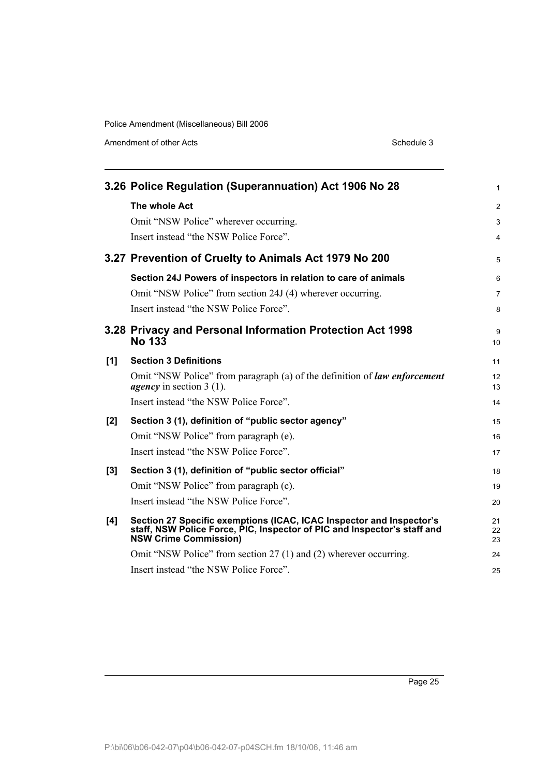Amendment of other Acts Schedule 3

|     | 3.26 Police Regulation (Superannuation) Act 1906 No 28                                                                                                                           | 1                   |
|-----|----------------------------------------------------------------------------------------------------------------------------------------------------------------------------------|---------------------|
|     | The whole Act<br>Omit "NSW Police" wherever occurring.                                                                                                                           | $\overline{c}$<br>3 |
|     | Insert instead "the NSW Police Force".                                                                                                                                           | 4                   |
|     | 3.27 Prevention of Cruelty to Animals Act 1979 No 200                                                                                                                            | 5                   |
|     | Section 24J Powers of inspectors in relation to care of animals                                                                                                                  | 6                   |
|     | Omit "NSW Police" from section 24J (4) wherever occurring.                                                                                                                       | 7                   |
|     | Insert instead "the NSW Police Force".                                                                                                                                           | 8                   |
|     | 3.28 Privacy and Personal Information Protection Act 1998<br><b>No 133</b>                                                                                                       | 9<br>10             |
| [1] | <b>Section 3 Definitions</b>                                                                                                                                                     | 11                  |
|     | Omit "NSW Police" from paragraph (a) of the definition of law enforcement<br><i>agency</i> in section $3(1)$ .                                                                   | 12<br>13            |
|     | Insert instead "the NSW Police Force".                                                                                                                                           | 14                  |
| [2] | Section 3 (1), definition of "public sector agency"                                                                                                                              | 15                  |
|     | Omit "NSW Police" from paragraph (e).                                                                                                                                            | 16                  |
|     | Insert instead "the NSW Police Force".                                                                                                                                           | 17                  |
| [3] | Section 3 (1), definition of "public sector official"                                                                                                                            | 18                  |
|     | Omit "NSW Police" from paragraph (c).                                                                                                                                            | 19                  |
|     | Insert instead "the NSW Police Force".                                                                                                                                           | 20                  |
| [4] | Section 27 Specific exemptions (ICAC, ICAC Inspector and Inspector's<br>staff, NSW Police Force, PIC, Inspector of PIC and Inspector's staff and<br><b>NSW Crime Commission)</b> | 21<br>22<br>23      |
|     | Omit "NSW Police" from section 27 (1) and (2) wherever occurring.                                                                                                                | 24                  |
|     | Insert instead "the NSW Police Force".                                                                                                                                           | 25                  |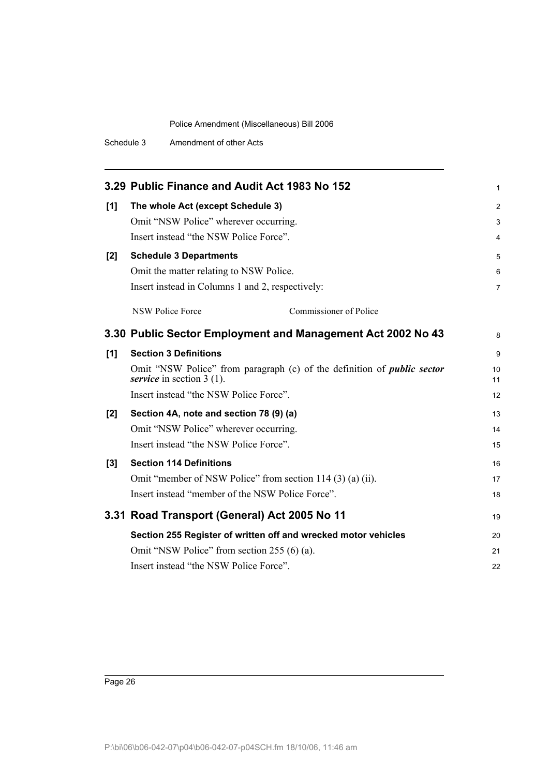Schedule 3 Amendment of other Acts

|     | 3.29 Public Finance and Audit Act 1983 No 152                                                                 | 1  |
|-----|---------------------------------------------------------------------------------------------------------------|----|
| [1] | The whole Act (except Schedule 3)                                                                             | 2  |
|     | Omit "NSW Police" wherever occurring.                                                                         | 3  |
|     | Insert instead "the NSW Police Force".                                                                        | 4  |
| [2] | <b>Schedule 3 Departments</b>                                                                                 | 5  |
|     | Omit the matter relating to NSW Police.                                                                       | 6  |
|     | Insert instead in Columns 1 and 2, respectively:                                                              | 7  |
|     | <b>NSW Police Force</b><br>Commissioner of Police                                                             |    |
|     | 3.30 Public Sector Employment and Management Act 2002 No 43                                                   | 8  |
| [1] | <b>Section 3 Definitions</b>                                                                                  | 9  |
|     | Omit "NSW Police" from paragraph (c) of the definition of <i>public sector</i><br>service in section $3(1)$ . | 10 |
|     |                                                                                                               | 11 |
|     | Insert instead "the NSW Police Force".                                                                        | 12 |
| [2] | Section 4A, note and section 78 (9) (a)                                                                       | 13 |
|     | Omit "NSW Police" wherever occurring.                                                                         | 14 |
|     | Insert instead "the NSW Police Force".                                                                        | 15 |
| [3] | <b>Section 114 Definitions</b>                                                                                | 16 |
|     | Omit "member of NSW Police" from section 114 (3) (a) (ii).                                                    | 17 |
|     | Insert instead "member of the NSW Police Force".                                                              | 18 |
|     | 3.31 Road Transport (General) Act 2005 No 11                                                                  | 19 |
|     | Section 255 Register of written off and wrecked motor vehicles                                                | 20 |
|     | Omit "NSW Police" from section 255 (6) (a).                                                                   | 21 |
|     | Insert instead "the NSW Police Force".                                                                        | 22 |
|     |                                                                                                               |    |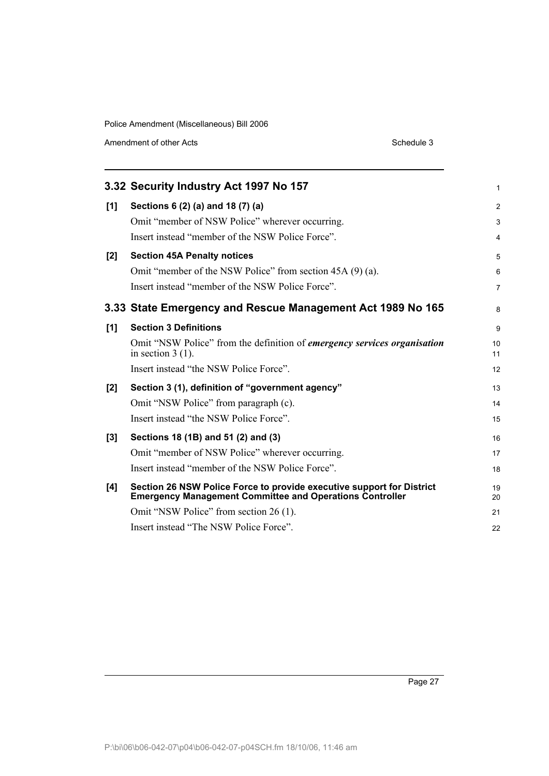Amendment of other Acts Schedule 3

|     | 3.32 Security Industry Act 1997 No 157                                                                                                   | 1              |
|-----|------------------------------------------------------------------------------------------------------------------------------------------|----------------|
| [1] | Sections 6 (2) (a) and 18 (7) (a)                                                                                                        | 2              |
|     | Omit "member of NSW Police" wherever occurring.                                                                                          | 3              |
|     | Insert instead "member of the NSW Police Force".                                                                                         | 4              |
| [2] | <b>Section 45A Penalty notices</b>                                                                                                       | 5              |
|     | Omit "member of the NSW Police" from section 45A (9) (a).                                                                                | 6              |
|     | Insert instead "member of the NSW Police Force".                                                                                         | $\overline{7}$ |
|     | 3.33 State Emergency and Rescue Management Act 1989 No 165                                                                               | 8              |
| [1] | <b>Section 3 Definitions</b>                                                                                                             | 9              |
|     | Omit "NSW Police" from the definition of <i>emergency services organisation</i><br>in section $3(1)$ .                                   | 10<br>11       |
|     | Insert instead "the NSW Police Force".                                                                                                   | 12             |
| [2] | Section 3 (1), definition of "government agency"                                                                                         | 13             |
|     | Omit "NSW Police" from paragraph (c).                                                                                                    | 14             |
|     | Insert instead "the NSW Police Force".                                                                                                   | 15             |
| [3] | Sections 18 (1B) and 51 (2) and (3)                                                                                                      | 16             |
|     | Omit "member of NSW Police" wherever occurring.                                                                                          | 17             |
|     | Insert instead "member of the NSW Police Force".                                                                                         | 18             |
| [4] | Section 26 NSW Police Force to provide executive support for District<br><b>Emergency Management Committee and Operations Controller</b> | 19<br>20       |
|     | Omit "NSW Police" from section 26 (1).                                                                                                   | 21             |
|     | Insert instead "The NSW Police Force".                                                                                                   | 22             |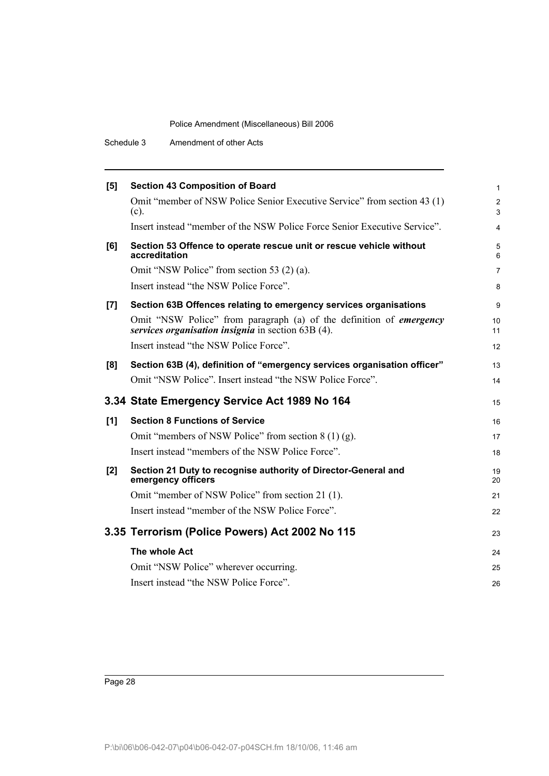| [5] | <b>Section 43 Composition of Board</b>                                                                                             | $\mathbf{1}$        |
|-----|------------------------------------------------------------------------------------------------------------------------------------|---------------------|
|     | Omit "member of NSW Police Senior Executive Service" from section 43 (1)<br>$(c)$ .                                                | $\overline{2}$<br>3 |
|     | Insert instead "member of the NSW Police Force Senior Executive Service".                                                          | $\overline{4}$      |
| [6] | Section 53 Offence to operate rescue unit or rescue vehicle without<br>accreditation                                               | 5<br>6              |
|     | Omit "NSW Police" from section 53 (2) (a).                                                                                         | $\overline{7}$      |
|     | Insert instead "the NSW Police Force".                                                                                             | 8                   |
| [7] | Section 63B Offences relating to emergency services organisations                                                                  | 9                   |
|     | Omit "NSW Police" from paragraph (a) of the definition of <i>emergency</i><br>services organisation insignia in section $63B(4)$ . | 10<br>11            |
|     | Insert instead "the NSW Police Force".                                                                                             | 12                  |
| [8] | Section 63B (4), definition of "emergency services organisation officer"                                                           | 13                  |
|     | Omit "NSW Police". Insert instead "the NSW Police Force".                                                                          | 14                  |
|     |                                                                                                                                    |                     |
|     | 3.34 State Emergency Service Act 1989 No 164                                                                                       | 15                  |
| [1] | <b>Section 8 Functions of Service</b>                                                                                              | 16                  |
|     | Omit "members of NSW Police" from section $8(1)(g)$ .                                                                              | 17                  |
|     | Insert instead "members of the NSW Police Force".                                                                                  | 18                  |
| [2] | Section 21 Duty to recognise authority of Director-General and<br>emergency officers                                               | 19<br>20            |
|     | Omit "member of NSW Police" from section 21 (1).                                                                                   | 21                  |
|     | Insert instead "member of the NSW Police Force".                                                                                   | 22                  |
|     | 3.35 Terrorism (Police Powers) Act 2002 No 115                                                                                     | 23                  |
|     | The whole Act                                                                                                                      | 24                  |
|     | Omit "NSW Police" wherever occurring.                                                                                              | 25                  |